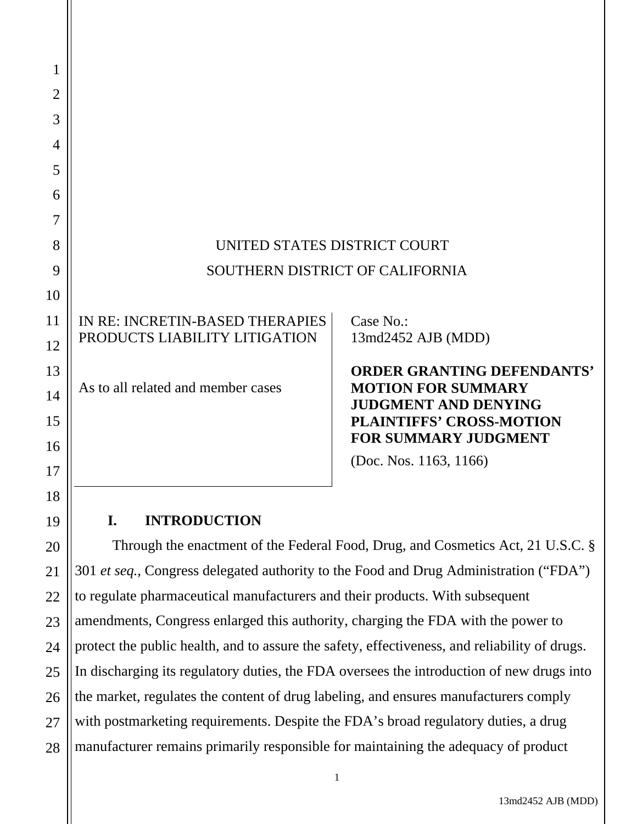| 1              |                                                                                               |                                                                |
|----------------|-----------------------------------------------------------------------------------------------|----------------------------------------------------------------|
| $\overline{2}$ |                                                                                               |                                                                |
| 3              |                                                                                               |                                                                |
| 4              |                                                                                               |                                                                |
| 5              |                                                                                               |                                                                |
| 6              |                                                                                               |                                                                |
| 7              |                                                                                               |                                                                |
| 8              | UNITED STATES DISTRICT COURT                                                                  |                                                                |
| 9              | SOUTHERN DISTRICT OF CALIFORNIA                                                               |                                                                |
| 10             |                                                                                               |                                                                |
| 11             | IN RE: INCRETIN-BASED THERAPIES                                                               | Case No.:                                                      |
| 12             | PRODUCTS LIABILITY LITIGATION                                                                 | 13md2452 AJB (MDD)                                             |
| 13             |                                                                                               | <b>ORDER GRANTING DEFENDANTS'</b>                              |
| 14             | As to all related and member cases                                                            | <b>MOTION FOR SUMMARY</b><br><b>JUDGMENT AND DENYING</b>       |
| 15             |                                                                                               | <b>PLAINTIFFS' CROSS-MOTION</b><br><b>FOR SUMMARY JUDGMENT</b> |
| 16             |                                                                                               | (Doc. Nos. $1163$ , $1166$ )                                   |
| 17             |                                                                                               |                                                                |
| 18             |                                                                                               |                                                                |
| 19             | <b>INTRODUCTION</b><br>I.                                                                     |                                                                |
| 20             | Through the enactment of the Federal Food, Drug, and Cosmetics Act, 21 U.S.C. §               |                                                                |
| 21             | 301 et seq., Congress delegated authority to the Food and Drug Administration ("FDA")         |                                                                |
| 22             | to regulate pharmaceutical manufacturers and their products. With subsequent                  |                                                                |
| 23             | amendments, Congress enlarged this authority, charging the FDA with the power to              |                                                                |
| 24             | protect the public health, and to assure the safety, effectiveness, and reliability of drugs. |                                                                |
|                |                                                                                               |                                                                |

26 the market, regulates the content of drug labeling, and ensures manufacturers comply

28 with postmarketing requirements. Despite the FDA's broad regulatory duties, a drug manufacturer remains primarily responsible for maintaining the adequacy of product

1

27

13md2452 AJB (MDD)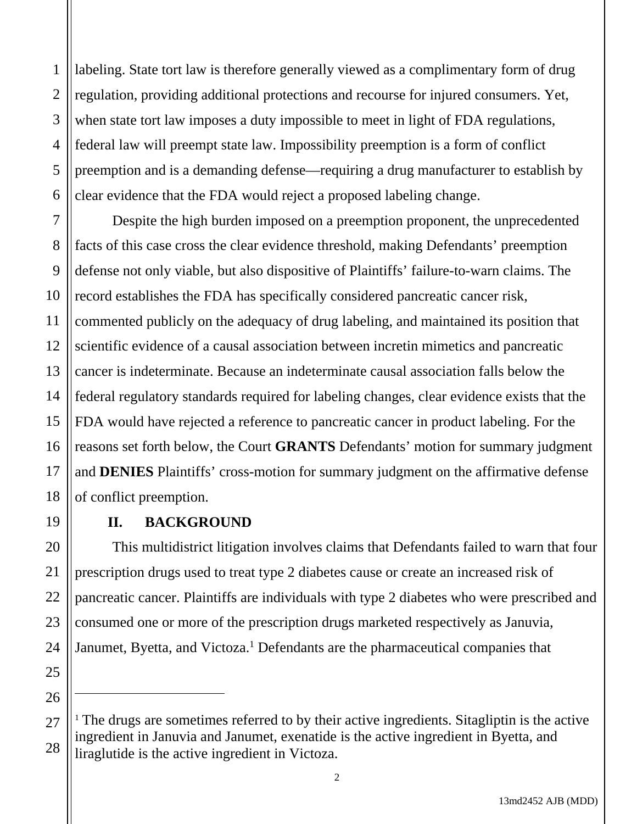2 labeling. State tort law is therefore generally viewed as a complimentary form of drug regulation, providing additional protections and recourse for injured consumers. Yet, when state tort law imposes a duty impossible to meet in light of FDA regulations, federal law will preempt state law. Impossibility preemption is a form of conflict preemption and is a demanding defense—requiring a drug manufacturer to establish by clear evidence that the FDA would reject a proposed labeling change.

Despite the high burden imposed on a preemption proponent, the unprecedented facts of this case cross the clear evidence threshold, making Defendants' preemption defense not only viable, but also dispositive of Plaintiffs' failure-to-warn claims. The record establishes the FDA has specifically considered pancreatic cancer risk, commented publicly on the adequacy of drug labeling, and maintained its position that scientific evidence of a causal association between incretin mimetics and pancreatic cancer is indeterminate. Because an indeterminate causal association falls below the federal regulatory standards required for labeling changes, clear evidence exists that the FDA would have rejected a reference to pancreatic cancer in product labeling. For the reasons set forth below, the Court **GRANTS** Defendants' motion for summary judgment and **DENIES** Plaintiffs' cross-motion for summary judgment on the affirmative defense of conflict preemption.

## **II. BACKGROUND**

This multidistrict litigation involves claims that Defendants failed to warn that four prescription drugs used to treat type 2 diabetes cause or create an increased risk of pancreatic cancer. Plaintiffs are individuals with type 2 diabetes who were prescribed and consumed one or more of the prescription drugs marketed respectively as Januvia, Janumet, Byetta, and Victoza.<sup>1</sup> Defendants are the pharmaceutical companies that

 $1$ <sup>1</sup> The drugs are sometimes referred to by their active ingredients. Sitagliptin is the active ingredient in Januvia and Janumet, exenatide is the active ingredient in Byetta, and liraglutide is the active ingredient in Victoza.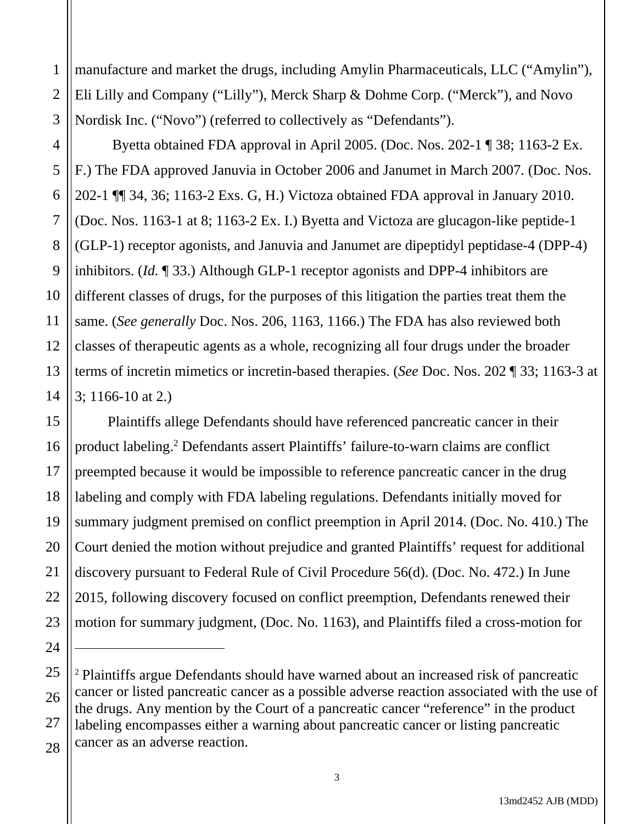2 manufacture and market the drugs, including Amylin Pharmaceuticals, LLC ("Amylin"), Eli Lilly and Company ("Lilly"), Merck Sharp & Dohme Corp. ("Merck"), and Novo Nordisk Inc. ("Novo") (referred to collectively as "Defendants").

 Byetta obtained FDA approval in April 2005. (Doc. Nos. 202-1 ¶ 38; 1163-2 Ex. F.) The FDA approved Januvia in October 2006 and Janumet in March 2007. (Doc. Nos. 202-1 ¶¶ 34, 36; 1163-2 Exs. G, H.) Victoza obtained FDA approval in January 2010. (Doc. Nos. 1163-1 at 8; 1163-2 Ex. I.) Byetta and Victoza are glucagon-like peptide-1 (GLP-1) receptor agonists, and Januvia and Janumet are dipeptidyl peptidase-4 (DPP-4) inhibitors. (*Id.* ¶ 33.) Although GLP-1 receptor agonists and DPP-4 inhibitors are different classes of drugs, for the purposes of this litigation the parties treat them the same. (*See generally* Doc. Nos. 206, 1163, 1166.) The FDA has also reviewed both classes of therapeutic agents as a whole, recognizing all four drugs under the broader terms of incretin mimetics or incretin-based therapies. (*See* Doc. Nos. 202 ¶ 33; 1163-3 at 3; 1166-10 at 2.)

Plaintiffs allege Defendants should have referenced pancreatic cancer in their product labeling.2 Defendants assert Plaintiffs' failure-to-warn claims are conflict preempted because it would be impossible to reference pancreatic cancer in the drug labeling and comply with FDA labeling regulations. Defendants initially moved for summary judgment premised on conflict preemption in April 2014. (Doc. No. 410.) The Court denied the motion without prejudice and granted Plaintiffs' request for additional discovery pursuant to Federal Rule of Civil Procedure 56(d). (Doc. No. 472.) In June 2015, following discovery focused on conflict preemption, Defendants renewed their motion for summary judgment, (Doc. No. 1163), and Plaintiffs filed a cross-motion for

<sup>2</sup> Plaintiffs argue Defendants should have warned about an increased risk of pancreatic cancer or listed pancreatic cancer as a possible adverse reaction associated with the use of the drugs. Any mention by the Court of a pancreatic cancer "reference" in the product labeling encompasses either a warning about pancreatic cancer or listing pancreatic cancer as an adverse reaction.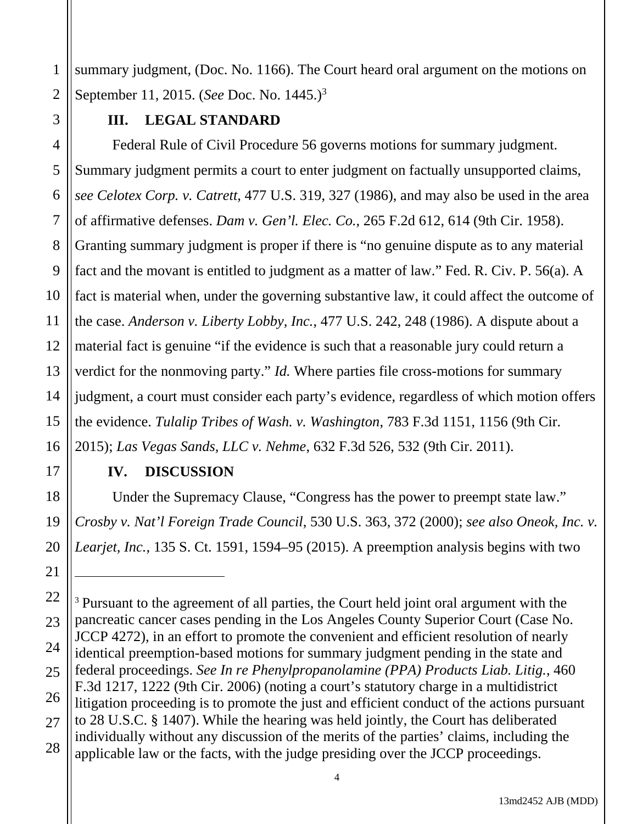2 summary judgment, (Doc. No. 1166). The Court heard oral argument on the motions on September 11, 2015. (*See* Doc. No. 1445.)3

## **III. LEGAL STANDARD**

1

3

5

7

8

9

11

17

18

19

20

21

4 6 10 12 13 14 15 16 Federal Rule of Civil Procedure 56 governs motions for summary judgment. Summary judgment permits a court to enter judgment on factually unsupported claims, *see Celotex Corp. v. Catrett*, 477 U.S. 319, 327 (1986), and may also be used in the area of affirmative defenses. *Dam v. Gen'l. Elec. Co.*, 265 F.2d 612, 614 (9th Cir. 1958). Granting summary judgment is proper if there is "no genuine dispute as to any material fact and the movant is entitled to judgment as a matter of law." Fed. R. Civ. P. 56(a). A fact is material when, under the governing substantive law, it could affect the outcome of the case. *Anderson v. Liberty Lobby, Inc.*, 477 U.S. 242, 248 (1986). A dispute about a material fact is genuine "if the evidence is such that a reasonable jury could return a verdict for the nonmoving party." *Id.* Where parties file cross-motions for summary judgment, a court must consider each party's evidence, regardless of which motion offers the evidence. *Tulalip Tribes of Wash. v. Washington*, 783 F.3d 1151, 1156 (9th Cir. 2015); *Las Vegas Sands, LLC v. Nehme*, 632 F.3d 526, 532 (9th Cir. 2011).

## **IV. DISCUSSION**

Under the Supremacy Clause, "Congress has the power to preempt state law." *Crosby v. Nat'l Foreign Trade Council*, 530 U.S. 363, 372 (2000); *see also Oneok, Inc. v. Learjet, Inc.*, 135 S. Ct. 1591, 1594–95 (2015). A preemption analysis begins with two

<sup>22</sup> 23 24 25 26 27 28 <sup>3</sup> Pursuant to the agreement of all parties, the Court held joint oral argument with the pancreatic cancer cases pending in the Los Angeles County Superior Court (Case No. JCCP 4272), in an effort to promote the convenient and efficient resolution of nearly identical preemption-based motions for summary judgment pending in the state and federal proceedings. *See In re Phenylpropanolamine (PPA) Products Liab. Litig.*, 460 F.3d 1217, 1222 (9th Cir. 2006) (noting a court's statutory charge in a multidistrict litigation proceeding is to promote the just and efficient conduct of the actions pursuant to 28 U.S.C. § 1407). While the hearing was held jointly, the Court has deliberated individually without any discussion of the merits of the parties' claims, including the applicable law or the facts, with the judge presiding over the JCCP proceedings.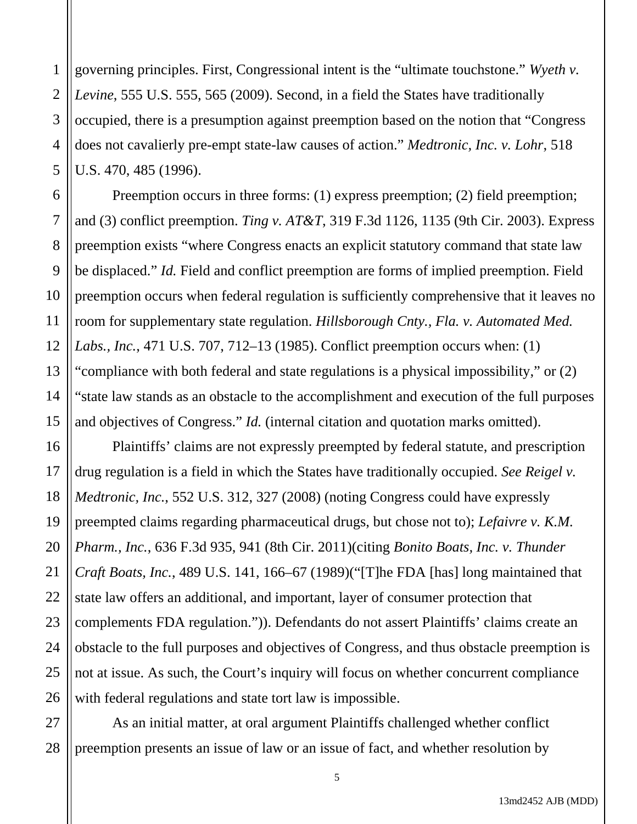1 2 3 4 5 governing principles. First, Congressional intent is the "ultimate touchstone." *Wyeth v. Levine*, 555 U.S. 555, 565 (2009). Second, in a field the States have traditionally occupied, there is a presumption against preemption based on the notion that "Congress does not cavalierly pre-empt state-law causes of action." *Medtronic, Inc. v. Lohr*, 518 U.S. 470, 485 (1996).

7

11

6 8 9 10 12 13 14 15 Preemption occurs in three forms: (1) express preemption; (2) field preemption; and (3) conflict preemption. *Ting v. AT&T*, 319 F.3d 1126, 1135 (9th Cir. 2003). Express preemption exists "where Congress enacts an explicit statutory command that state law be displaced." *Id.* Field and conflict preemption are forms of implied preemption. Field preemption occurs when federal regulation is sufficiently comprehensive that it leaves no room for supplementary state regulation. *Hillsborough Cnty., Fla. v. Automated Med. Labs., Inc.*, 471 U.S. 707, 712–13 (1985). Conflict preemption occurs when: (1) "compliance with both federal and state regulations is a physical impossibility," or (2) "state law stands as an obstacle to the accomplishment and execution of the full purposes and objectives of Congress." *Id.* (internal citation and quotation marks omitted).

16 17 18 19 20 21 22 23 24 25 26 Plaintiffs' claims are not expressly preempted by federal statute, and prescription drug regulation is a field in which the States have traditionally occupied. *See Reigel v. Medtronic, Inc.*, 552 U.S. 312, 327 (2008) (noting Congress could have expressly preempted claims regarding pharmaceutical drugs, but chose not to); *Lefaivre v. K.M. Pharm., Inc.*, 636 F.3d 935, 941 (8th Cir. 2011)(citing *Bonito Boats, Inc. v. Thunder Craft Boats, Inc.*, 489 U.S. 141, 166–67 (1989)("[T]he FDA [has] long maintained that state law offers an additional, and important, layer of consumer protection that complements FDA regulation.")). Defendants do not assert Plaintiffs' claims create an obstacle to the full purposes and objectives of Congress, and thus obstacle preemption is not at issue. As such, the Court's inquiry will focus on whether concurrent compliance with federal regulations and state tort law is impossible.

27 28 As an initial matter, at oral argument Plaintiffs challenged whether conflict preemption presents an issue of law or an issue of fact, and whether resolution by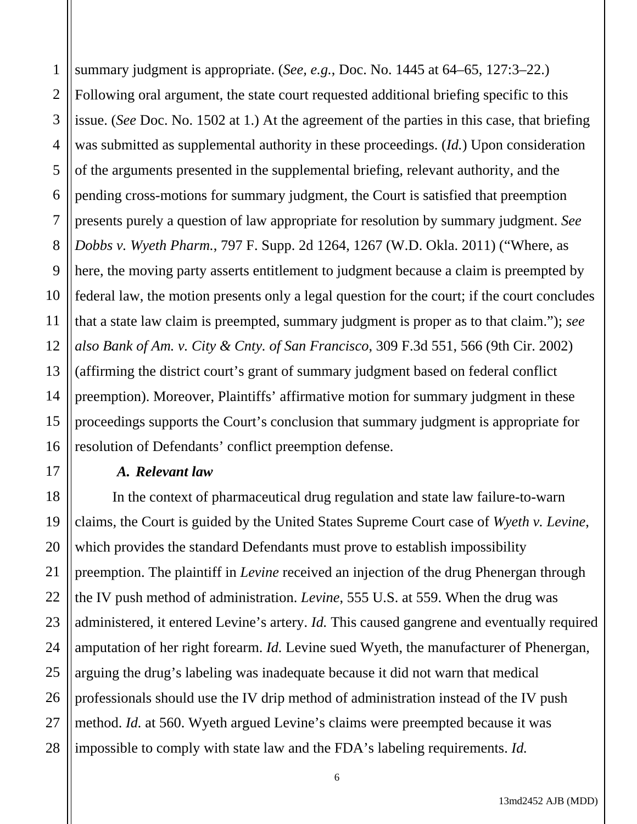1 2 3 summary judgment is appropriate. (*See, e.g.*, Doc. No. 1445 at 64–65, 127:3–22.) Following oral argument, the state court requested additional briefing specific to this issue. (*See* Doc. No. 1502 at 1.) At the agreement of the parties in this case, that briefing was submitted as supplemental authority in these proceedings. (*Id.*) Upon consideration of the arguments presented in the supplemental briefing, relevant authority, and the pending cross-motions for summary judgment, the Court is satisfied that preemption presents purely a question of law appropriate for resolution by summary judgment. *See Dobbs v. Wyeth Pharm.*, 797 F. Supp. 2d 1264, 1267 (W.D. Okla. 2011) ("Where, as here, the moving party asserts entitlement to judgment because a claim is preempted by federal law, the motion presents only a legal question for the court; if the court concludes that a state law claim is preempted, summary judgment is proper as to that claim."); *see also Bank of Am. v. City & Cnty. of San Francisco*, 309 F.3d 551, 566 (9th Cir. 2002) (affirming the district court's grant of summary judgment based on federal conflict preemption). Moreover, Plaintiffs' affirmative motion for summary judgment in these proceedings supports the Court's conclusion that summary judgment is appropriate for resolution of Defendants' conflict preemption defense.

#### *A. Relevant law*

In the context of pharmaceutical drug regulation and state law failure-to-warn claims, the Court is guided by the United States Supreme Court case of *Wyeth v. Levine*, which provides the standard Defendants must prove to establish impossibility preemption. The plaintiff in *Levine* received an injection of the drug Phenergan through the IV push method of administration. *Levine*, 555 U.S. at 559. When the drug was administered, it entered Levine's artery. *Id.* This caused gangrene and eventually required amputation of her right forearm. *Id.* Levine sued Wyeth, the manufacturer of Phenergan, arguing the drug's labeling was inadequate because it did not warn that medical professionals should use the IV drip method of administration instead of the IV push method. *Id.* at 560. Wyeth argued Levine's claims were preempted because it was impossible to comply with state law and the FDA's labeling requirements. *Id.*

13md2452 AJB (MDD)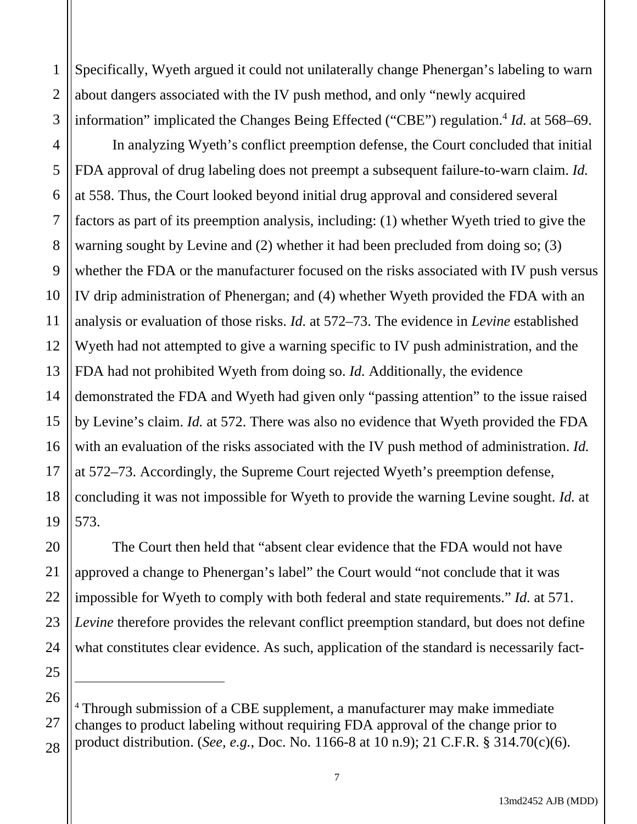1 2 3 Specifically, Wyeth argued it could not unilaterally change Phenergan's labeling to warn about dangers associated with the IV push method, and only "newly acquired information" implicated the Changes Being Effected ("CBE") regulation.<sup>4</sup> *Id.* at 568–69.

4 5 6 7 8 9 10 11 12 13 14 15 16 17 18 19 In analyzing Wyeth's conflict preemption defense, the Court concluded that initial FDA approval of drug labeling does not preempt a subsequent failure-to-warn claim. *Id.*  at 558. Thus, the Court looked beyond initial drug approval and considered several factors as part of its preemption analysis, including: (1) whether Wyeth tried to give the warning sought by Levine and (2) whether it had been precluded from doing so; (3) whether the FDA or the manufacturer focused on the risks associated with IV push versus IV drip administration of Phenergan; and (4) whether Wyeth provided the FDA with an analysis or evaluation of those risks. *Id.* at 572–73. The evidence in *Levine* established Wyeth had not attempted to give a warning specific to IV push administration, and the FDA had not prohibited Wyeth from doing so. *Id.* Additionally, the evidence demonstrated the FDA and Wyeth had given only "passing attention" to the issue raised by Levine's claim. *Id.* at 572. There was also no evidence that Wyeth provided the FDA with an evaluation of the risks associated with the IV push method of administration. *Id.* at 572–73. Accordingly, the Supreme Court rejected Wyeth's preemption defense, concluding it was not impossible for Wyeth to provide the warning Levine sought. *Id.* at 573.

The Court then held that "absent clear evidence that the FDA would not have approved a change to Phenergan's label" the Court would "not conclude that it was impossible for Wyeth to comply with both federal and state requirements." *Id.* at 571. *Levine* therefore provides the relevant conflict preemption standard, but does not define what constitutes clear evidence. As such, application of the standard is necessarily fact-

20

21

22

23

24

25

26 27 28 <sup>4</sup> Through submission of a CBE supplement, a manufacturer may make immediate changes to product labeling without requiring FDA approval of the change prior to product distribution. (*See, e.g.*, Doc. No. 1166-8 at 10 n.9); 21 C.F.R. § 314.70(c)(6).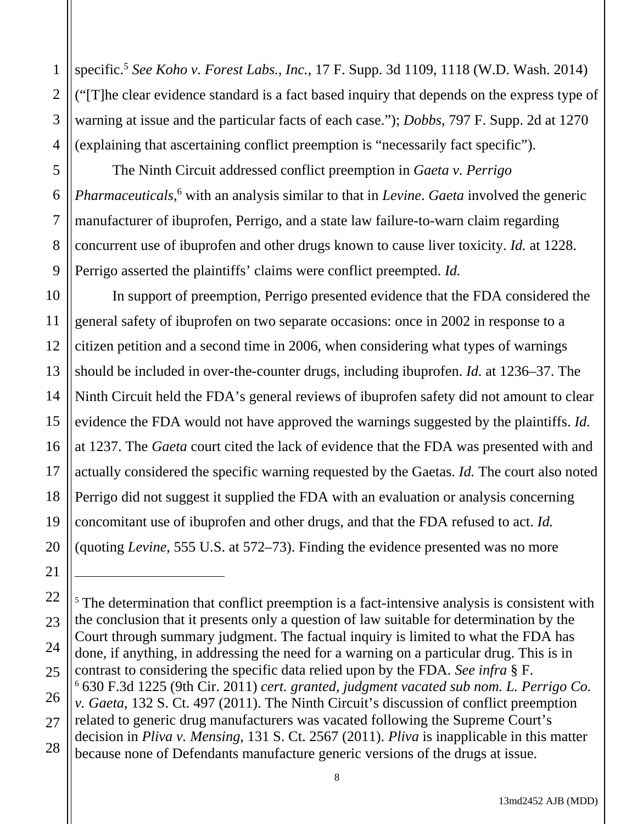specific.5 *See Koho v. Forest Labs., Inc.*, 17 F. Supp. 3d 1109, 1118 (W.D. Wash. 2014) ("[T]he clear evidence standard is a fact based inquiry that depends on the express type of warning at issue and the particular facts of each case."); *Dobbs*, 797 F. Supp. 2d at 1270 (explaining that ascertaining conflict preemption is "necessarily fact specific").

The Ninth Circuit addressed conflict preemption in *Gaeta v. Perrigo Pharmaceuticals*,<sup>6</sup> with an analysis similar to that in *Levine*. *Gaeta* involved the generic manufacturer of ibuprofen, Perrigo, and a state law failure-to-warn claim regarding concurrent use of ibuprofen and other drugs known to cause liver toxicity. *Id.* at 1228. Perrigo asserted the plaintiffs' claims were conflict preempted. *Id.*

In support of preemption, Perrigo presented evidence that the FDA considered the general safety of ibuprofen on two separate occasions: once in 2002 in response to a citizen petition and a second time in 2006, when considering what types of warnings should be included in over-the-counter drugs, including ibuprofen. *Id.* at 1236–37. The Ninth Circuit held the FDA's general reviews of ibuprofen safety did not amount to clear evidence the FDA would not have approved the warnings suggested by the plaintiffs. *Id.* at 1237. The *Gaeta* court cited the lack of evidence that the FDA was presented with and actually considered the specific warning requested by the Gaetas. *Id.* The court also noted Perrigo did not suggest it supplied the FDA with an evaluation or analysis concerning concomitant use of ibuprofen and other drugs, and that the FDA refused to act. *Id.* (quoting *Levine*, 555 U.S. at 572–73). Finding the evidence presented was no more

<sup>5</sup> The determination that conflict preemption is a fact-intensive analysis is consistent with the conclusion that it presents only a question of law suitable for determination by the Court through summary judgment. The factual inquiry is limited to what the FDA has done, if anything, in addressing the need for a warning on a particular drug. This is in contrast to considering the specific data relied upon by the FDA. *See infra* § F. 6 630 F.3d 1225 (9th Cir. 2011) *cert. granted, judgment vacated sub nom. L. Perrigo Co. v. Gaeta*, 132 S. Ct. 497 (2011). The Ninth Circuit's discussion of conflict preemption related to generic drug manufacturers was vacated following the Supreme Court's decision in *Pliva v. Mensing*, 131 S. Ct. 2567 (2011). *Pliva* is inapplicable in this matter because none of Defendants manufacture generic versions of the drugs at issue.

1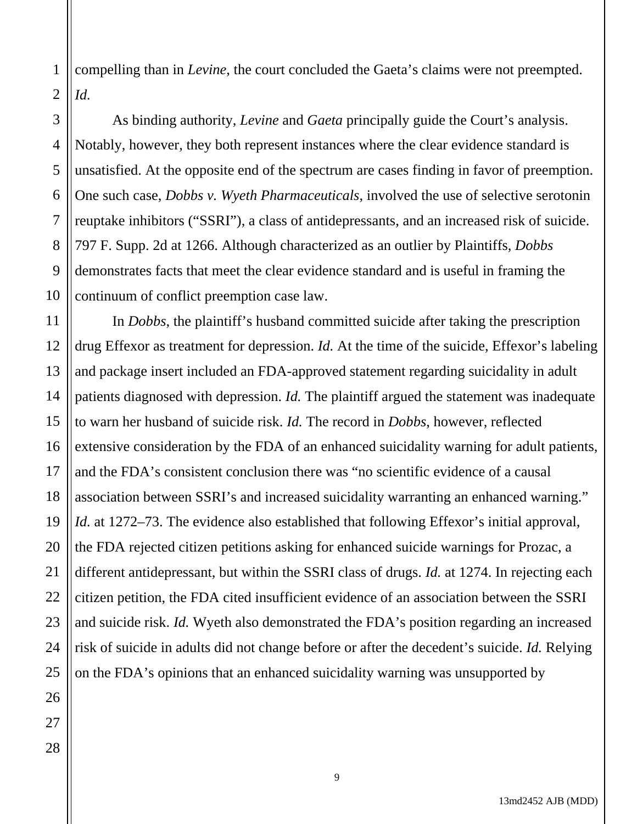1 2 compelling than in *Levine*, the court concluded the Gaeta's claims were not preempted. *Id.*

4 6 As binding authority, *Levine* and *Gaeta* principally guide the Court's analysis. Notably, however, they both represent instances where the clear evidence standard is unsatisfied. At the opposite end of the spectrum are cases finding in favor of preemption. One such case, *Dobbs v. Wyeth Pharmaceuticals*, involved the use of selective serotonin reuptake inhibitors ("SSRI"), a class of antidepressants, and an increased risk of suicide. 797 F. Supp. 2d at 1266. Although characterized as an outlier by Plaintiffs, *Dobbs*  demonstrates facts that meet the clear evidence standard and is useful in framing the continuum of conflict preemption case law.

In *Dobbs*, the plaintiff's husband committed suicide after taking the prescription drug Effexor as treatment for depression. *Id.* At the time of the suicide, Effexor's labeling and package insert included an FDA-approved statement regarding suicidality in adult patients diagnosed with depression. *Id.* The plaintiff argued the statement was inadequate to warn her husband of suicide risk. *Id.* The record in *Dobbs*, however, reflected extensive consideration by the FDA of an enhanced suicidality warning for adult patients, and the FDA's consistent conclusion there was "no scientific evidence of a causal association between SSRI's and increased suicidality warranting an enhanced warning." *Id.* at 1272–73. The evidence also established that following Effexor's initial approval, the FDA rejected citizen petitions asking for enhanced suicide warnings for Prozac, a different antidepressant, but within the SSRI class of drugs. *Id.* at 1274. In rejecting each citizen petition, the FDA cited insufficient evidence of an association between the SSRI and suicide risk. *Id.* Wyeth also demonstrated the FDA's position regarding an increased risk of suicide in adults did not change before or after the decedent's suicide. *Id.* Relying on the FDA's opinions that an enhanced suicidality warning was unsupported by

3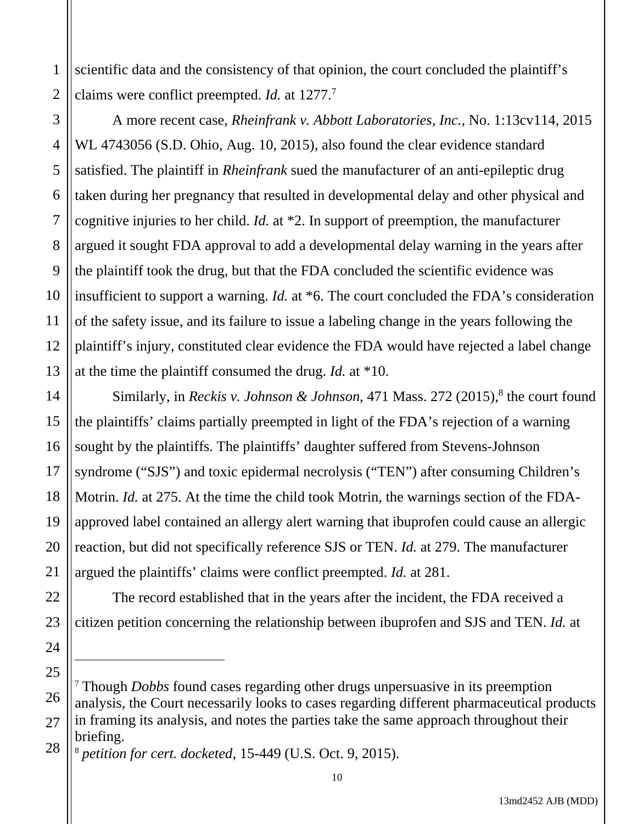1 2 scientific data and the consistency of that opinion, the court concluded the plaintiff's claims were conflict preempted. *Id.* at 1277.7

5

7

11

14

15

16

17

18

19

20

21

22

23

24

25

3 4 6 8 9 10 12 13 A more recent case, *Rheinfrank v. Abbott Laboratories, Inc.*, No. 1:13cv114, 2015 WL 4743056 (S.D. Ohio, Aug. 10, 2015), also found the clear evidence standard satisfied. The plaintiff in *Rheinfrank* sued the manufacturer of an anti-epileptic drug taken during her pregnancy that resulted in developmental delay and other physical and cognitive injuries to her child. *Id.* at \*2. In support of preemption, the manufacturer argued it sought FDA approval to add a developmental delay warning in the years after the plaintiff took the drug, but that the FDA concluded the scientific evidence was insufficient to support a warning. *Id.* at \*6. The court concluded the FDA's consideration of the safety issue, and its failure to issue a labeling change in the years following the plaintiff's injury, constituted clear evidence the FDA would have rejected a label change at the time the plaintiff consumed the drug. *Id.* at \*10.

Similarly, in *Reckis v. Johnson & Johnson*, 471 Mass. 272 (2015),<sup>8</sup> the court found the plaintiffs' claims partially preempted in light of the FDA's rejection of a warning sought by the plaintiffs. The plaintiffs' daughter suffered from Stevens-Johnson syndrome ("SJS") and toxic epidermal necrolysis ("TEN") after consuming Children's Motrin. *Id.* at 275. At the time the child took Motrin, the warnings section of the FDAapproved label contained an allergy alert warning that ibuprofen could cause an allergic reaction, but did not specifically reference SJS or TEN. *Id.* at 279. The manufacturer argued the plaintiffs' claims were conflict preempted. *Id.* at 281.

The record established that in the years after the incident, the FDA received a citizen petition concerning the relationship between ibuprofen and SJS and TEN. *Id.* at

<sup>26</sup> 27 <sup>7</sup> Though *Dobbs* found cases regarding other drugs unpersuasive in its preemption analysis, the Court necessarily looks to cases regarding different pharmaceutical products in framing its analysis, and notes the parties take the same approach throughout their briefing.

<sup>28</sup> <sup>8</sup> *petition for cert. docketed*, 15-449 (U.S. Oct. 9, 2015).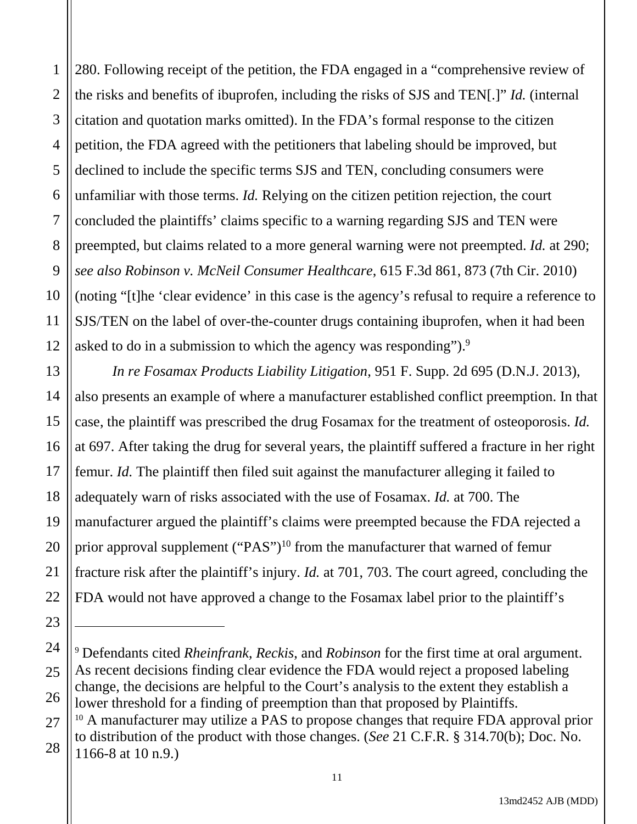1 2 3 4 5 6 7 8 9 10 11 12 280. Following receipt of the petition, the FDA engaged in a "comprehensive review of the risks and benefits of ibuprofen, including the risks of SJS and TEN[.]" *Id.* (internal citation and quotation marks omitted). In the FDA's formal response to the citizen petition, the FDA agreed with the petitioners that labeling should be improved, but declined to include the specific terms SJS and TEN, concluding consumers were unfamiliar with those terms. *Id.* Relying on the citizen petition rejection, the court concluded the plaintiffs' claims specific to a warning regarding SJS and TEN were preempted, but claims related to a more general warning were not preempted. *Id.* at 290; *see also Robinson v. McNeil Consumer Healthcare*, 615 F.3d 861, 873 (7th Cir. 2010) (noting "[t]he 'clear evidence' in this case is the agency's refusal to require a reference to SJS/TEN on the label of over-the-counter drugs containing ibuprofen, when it had been asked to do in a submission to which the agency was responding").<sup>9</sup>

*In re Fosamax Products Liability Litigation*, 951 F. Supp. 2d 695 (D.N.J. 2013), also presents an example of where a manufacturer established conflict preemption. In that case, the plaintiff was prescribed the drug Fosamax for the treatment of osteoporosis. *Id.* at 697. After taking the drug for several years, the plaintiff suffered a fracture in her right femur. *Id.* The plaintiff then filed suit against the manufacturer alleging it failed to adequately warn of risks associated with the use of Fosamax. *Id.* at 700. The manufacturer argued the plaintiff's claims were preempted because the FDA rejected a prior approval supplement ("PAS")<sup>10</sup> from the manufacturer that warned of femur fracture risk after the plaintiff's injury. *Id.* at 701, 703. The court agreed, concluding the FDA would not have approved a change to the Fosamax label prior to the plaintiff's

13

14

15

16

17

18

19

20

21

22

23

<sup>24</sup> 25 26 27 <sup>9</sup> Defendants cited *Rheinfrank*, *Reckis*, and *Robinson* for the first time at oral argument. As recent decisions finding clear evidence the FDA would reject a proposed labeling change, the decisions are helpful to the Court's analysis to the extent they establish a lower threshold for a finding of preemption than that proposed by Plaintiffs.<br><sup>10</sup> A manufacturer may utilize a PAS to propose changes that require FDA approval prior

<sup>28</sup> to distribution of the product with those changes. (*See* 21 C.F.R. § 314.70(b); Doc. No. 1166-8 at 10 n.9.)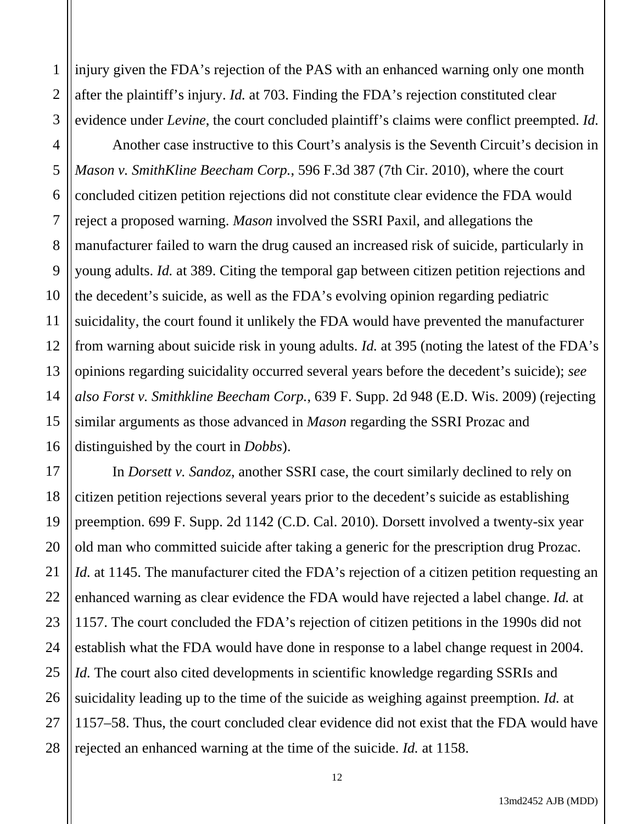1 2 3 injury given the FDA's rejection of the PAS with an enhanced warning only one month after the plaintiff's injury. *Id.* at 703. Finding the FDA's rejection constituted clear evidence under *Levine*, the court concluded plaintiff's claims were conflict preempted. *Id.*

4 5 6 7 8 9 10 11 12 13 14 15 16 Another case instructive to this Court's analysis is the Seventh Circuit's decision in *Mason v. SmithKline Beecham Corp.*, 596 F.3d 387 (7th Cir. 2010), where the court concluded citizen petition rejections did not constitute clear evidence the FDA would reject a proposed warning. *Mason* involved the SSRI Paxil, and allegations the manufacturer failed to warn the drug caused an increased risk of suicide, particularly in young adults. *Id.* at 389. Citing the temporal gap between citizen petition rejections and the decedent's suicide, as well as the FDA's evolving opinion regarding pediatric suicidality, the court found it unlikely the FDA would have prevented the manufacturer from warning about suicide risk in young adults. *Id.* at 395 (noting the latest of the FDA's opinions regarding suicidality occurred several years before the decedent's suicide); *see also Forst v. Smithkline Beecham Corp.*, 639 F. Supp. 2d 948 (E.D. Wis. 2009) (rejecting similar arguments as those advanced in *Mason* regarding the SSRI Prozac and distinguished by the court in *Dobbs*).

17 18 19 20 21 22 23 24 25 26 27 28 In *Dorsett v. Sandoz*, another SSRI case, the court similarly declined to rely on citizen petition rejections several years prior to the decedent's suicide as establishing preemption. 699 F. Supp. 2d 1142 (C.D. Cal. 2010). Dorsett involved a twenty-six year old man who committed suicide after taking a generic for the prescription drug Prozac. *Id.* at 1145. The manufacturer cited the FDA's rejection of a citizen petition requesting an enhanced warning as clear evidence the FDA would have rejected a label change. *Id.* at 1157. The court concluded the FDA's rejection of citizen petitions in the 1990s did not establish what the FDA would have done in response to a label change request in 2004. *Id.* The court also cited developments in scientific knowledge regarding SSRIs and suicidality leading up to the time of the suicide as weighing against preemption*. Id.* at 1157–58. Thus, the court concluded clear evidence did not exist that the FDA would have rejected an enhanced warning at the time of the suicide. *Id.* at 1158.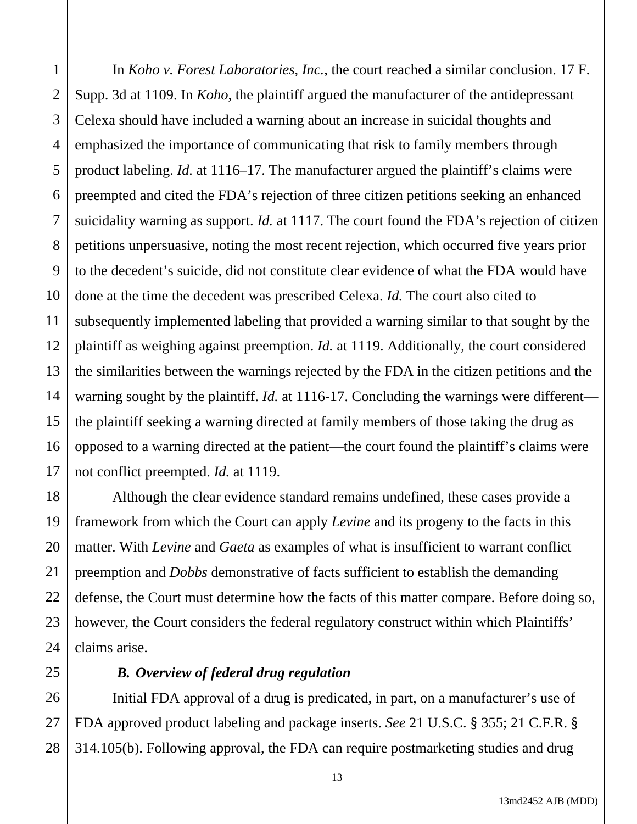1 2 3 4 5 6 7 8 9 10 11 12 13 14 15 16 17 In *Koho v. Forest Laboratories*, *Inc.*, the court reached a similar conclusion. 17 F. Supp. 3d at 1109. In *Koho*, the plaintiff argued the manufacturer of the antidepressant Celexa should have included a warning about an increase in suicidal thoughts and emphasized the importance of communicating that risk to family members through product labeling. *Id.* at 1116–17. The manufacturer argued the plaintiff's claims were preempted and cited the FDA's rejection of three citizen petitions seeking an enhanced suicidality warning as support. *Id.* at 1117. The court found the FDA's rejection of citizen petitions unpersuasive, noting the most recent rejection, which occurred five years prior to the decedent's suicide, did not constitute clear evidence of what the FDA would have done at the time the decedent was prescribed Celexa. *Id.* The court also cited to subsequently implemented labeling that provided a warning similar to that sought by the plaintiff as weighing against preemption. *Id.* at 1119. Additionally, the court considered the similarities between the warnings rejected by the FDA in the citizen petitions and the warning sought by the plaintiff. *Id.* at 1116-17. Concluding the warnings were different the plaintiff seeking a warning directed at family members of those taking the drug as opposed to a warning directed at the patient—the court found the plaintiff's claims were not conflict preempted. *Id.* at 1119.

18 19 20 21 22 23 24 Although the clear evidence standard remains undefined, these cases provide a framework from which the Court can apply *Levine* and its progeny to the facts in this matter. With *Levine* and *Gaeta* as examples of what is insufficient to warrant conflict preemption and *Dobbs* demonstrative of facts sufficient to establish the demanding defense, the Court must determine how the facts of this matter compare. Before doing so, however, the Court considers the federal regulatory construct within which Plaintiffs' claims arise.

#### *B. Overview of federal drug regulation*

25

26

27

28

Initial FDA approval of a drug is predicated, in part, on a manufacturer's use of FDA approved product labeling and package inserts. *See* 21 U.S.C. § 355; 21 C.F.R. § 314.105(b). Following approval, the FDA can require postmarketing studies and drug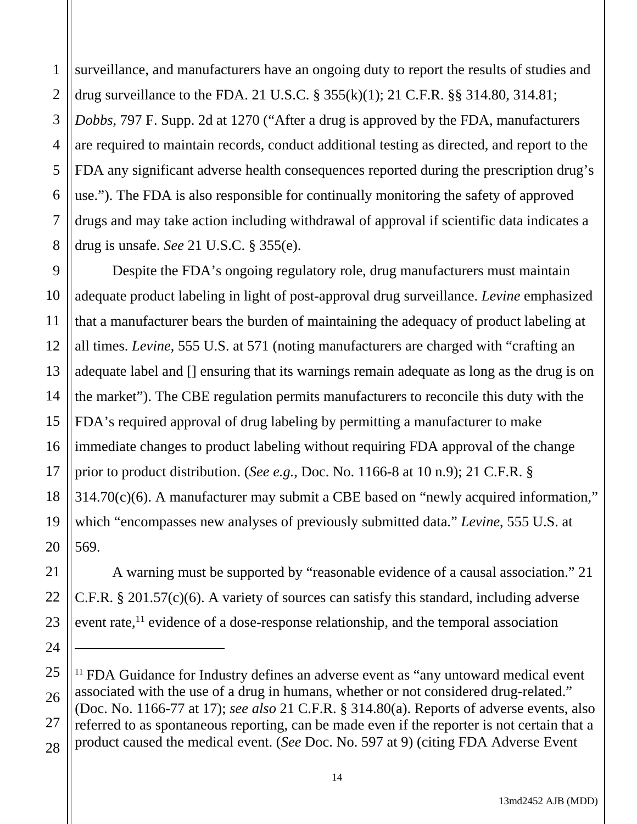1 2 3 4 5 6 7 8 surveillance, and manufacturers have an ongoing duty to report the results of studies and drug surveillance to the FDA. 21 U.S.C. § 355(k)(1); 21 C.F.R. §§ 314.80, 314.81; *Dobbs*, 797 F. Supp. 2d at 1270 ("After a drug is approved by the FDA, manufacturers are required to maintain records, conduct additional testing as directed, and report to the FDA any significant adverse health consequences reported during the prescription drug's use."). The FDA is also responsible for continually monitoring the safety of approved drugs and may take action including withdrawal of approval if scientific data indicates a drug is unsafe. *See* 21 U.S.C. § 355(e).

9 10 11 12 13 14 15 16 17 18 19 20 Despite the FDA's ongoing regulatory role, drug manufacturers must maintain adequate product labeling in light of post-approval drug surveillance. *Levine* emphasized that a manufacturer bears the burden of maintaining the adequacy of product labeling at all times. *Levine*, 555 U.S. at 571 (noting manufacturers are charged with "crafting an adequate label and [] ensuring that its warnings remain adequate as long as the drug is on the market"). The CBE regulation permits manufacturers to reconcile this duty with the FDA's required approval of drug labeling by permitting a manufacturer to make immediate changes to product labeling without requiring FDA approval of the change prior to product distribution. (*See e.g.*, Doc. No. 1166-8 at 10 n.9); 21 C.F.R. § 314.70(c)(6). A manufacturer may submit a CBE based on "newly acquired information," which "encompasses new analyses of previously submitted data." *Levine*, 555 U.S. at 569.

 A warning must be supported by "reasonable evidence of a causal association." 21 C.F.R. § 201.57(c)(6). A variety of sources can satisfy this standard, including adverse event rate, $^{11}$  evidence of a dose-response relationship, and the temporal association

21

22

23

24

<sup>25</sup> 26 27 28 <sup>11</sup> FDA Guidance for Industry defines an adverse event as "any untoward medical event" associated with the use of a drug in humans, whether or not considered drug-related." (Doc. No. 1166-77 at 17); *see also* 21 C.F.R. § 314.80(a). Reports of adverse events, also referred to as spontaneous reporting, can be made even if the reporter is not certain that a product caused the medical event. (*See* Doc. No. 597 at 9) (citing FDA Adverse Event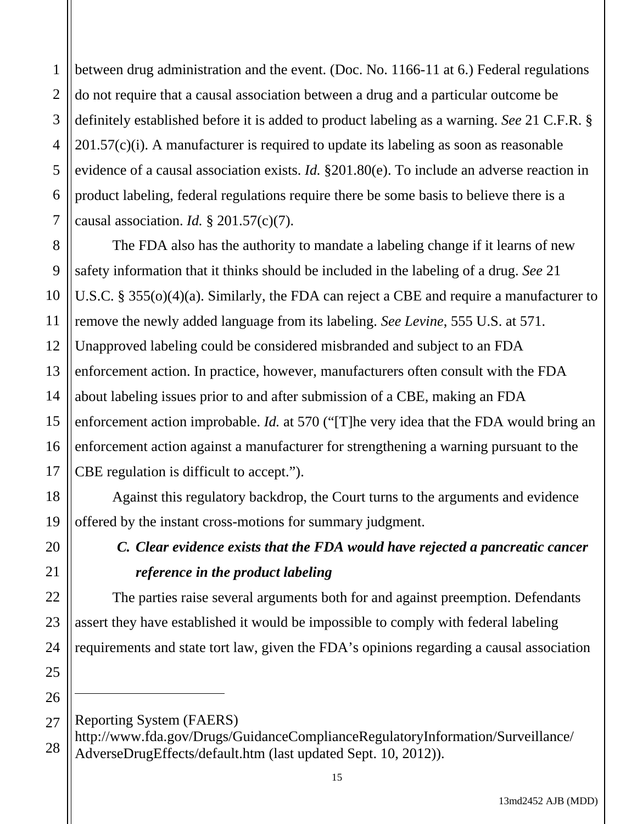1 2 3 4 5 6 7 between drug administration and the event. (Doc. No. 1166-11 at 6.) Federal regulations do not require that a causal association between a drug and a particular outcome be definitely established before it is added to product labeling as a warning. *See* 21 C.F.R. § 201.57(c)(i). A manufacturer is required to update its labeling as soon as reasonable evidence of a causal association exists. *Id.* §201.80(e). To include an adverse reaction in product labeling, federal regulations require there be some basis to believe there is a causal association. *Id.* § 201.57(c)(7).

The FDA also has the authority to mandate a labeling change if it learns of new safety information that it thinks should be included in the labeling of a drug. *See* 21 U.S.C. § 355(o)(4)(a). Similarly, the FDA can reject a CBE and require a manufacturer to remove the newly added language from its labeling. *See Levine*, 555 U.S. at 571. Unapproved labeling could be considered misbranded and subject to an FDA enforcement action. In practice, however, manufacturers often consult with the FDA about labeling issues prior to and after submission of a CBE, making an FDA enforcement action improbable. *Id.* at 570 ("[T]he very idea that the FDA would bring an enforcement action against a manufacturer for strengthening a warning pursuant to the CBE regulation is difficult to accept.").

 Against this regulatory backdrop, the Court turns to the arguments and evidence offered by the instant cross-motions for summary judgment.

# *C. Clear evidence exists that the FDA would have rejected a pancreatic cancer reference in the product labeling*

The parties raise several arguments both for and against preemption. Defendants assert they have established it would be impossible to comply with federal labeling requirements and state tort law, given the FDA's opinions regarding a causal association

Reporting System (FAERS)

http://www.fda.gov/Drugs/GuidanceComplianceRegulatoryInformation/Surveillance/ AdverseDrugEffects/default.htm (last updated Sept. 10, 2012)).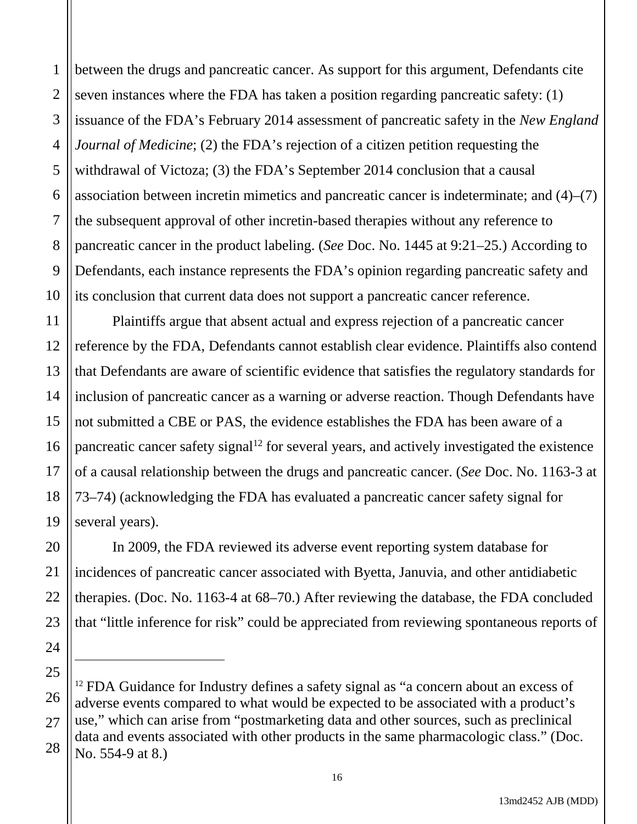1 2 3 between the drugs and pancreatic cancer. As support for this argument, Defendants cite seven instances where the FDA has taken a position regarding pancreatic safety: (1) issuance of the FDA's February 2014 assessment of pancreatic safety in the *New England Journal of Medicine*; (2) the FDA's rejection of a citizen petition requesting the withdrawal of Victoza; (3) the FDA's September 2014 conclusion that a causal association between incretin mimetics and pancreatic cancer is indeterminate; and (4)–(7) the subsequent approval of other incretin-based therapies without any reference to pancreatic cancer in the product labeling. (*See* Doc. No. 1445 at 9:21–25.) According to Defendants, each instance represents the FDA's opinion regarding pancreatic safety and its conclusion that current data does not support a pancreatic cancer reference.

Plaintiffs argue that absent actual and express rejection of a pancreatic cancer reference by the FDA, Defendants cannot establish clear evidence. Plaintiffs also contend that Defendants are aware of scientific evidence that satisfies the regulatory standards for inclusion of pancreatic cancer as a warning or adverse reaction. Though Defendants have not submitted a CBE or PAS, the evidence establishes the FDA has been aware of a pancreatic cancer safety signal<sup>12</sup> for several years, and actively investigated the existence of a causal relationship between the drugs and pancreatic cancer. (*See* Doc. No. 1163-3 at 73–74) (acknowledging the FDA has evaluated a pancreatic cancer safety signal for several years).

In 2009, the FDA reviewed its adverse event reporting system database for incidences of pancreatic cancer associated with Byetta, Januvia, and other antidiabetic therapies. (Doc. No. 1163-4 at 68–70.) After reviewing the database, the FDA concluded that "little inference for risk" could be appreciated from reviewing spontaneous reports of

<sup>&</sup>lt;sup>12</sup> FDA Guidance for Industry defines a safety signal as "a concern about an excess of adverse events compared to what would be expected to be associated with a product's use," which can arise from "postmarketing data and other sources, such as preclinical data and events associated with other products in the same pharmacologic class." (Doc. No. 554-9 at 8.)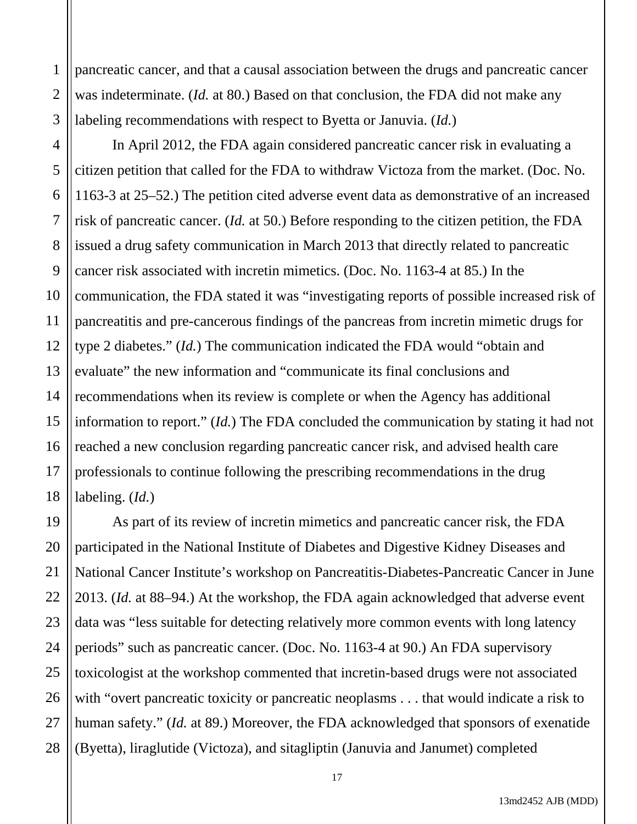pancreatic cancer, and that a causal association between the drugs and pancreatic cancer was indeterminate. (*Id.* at 80.) Based on that conclusion, the FDA did not make any labeling recommendations with respect to Byetta or Januvia. (*Id.*)

1

2

3

5

7

8

9

11

17

4 6 10 12 13 14 15 16 18 In April 2012, the FDA again considered pancreatic cancer risk in evaluating a citizen petition that called for the FDA to withdraw Victoza from the market. (Doc. No. 1163-3 at 25–52.) The petition cited adverse event data as demonstrative of an increased risk of pancreatic cancer. (*Id.* at 50.) Before responding to the citizen petition, the FDA issued a drug safety communication in March 2013 that directly related to pancreatic cancer risk associated with incretin mimetics. (Doc. No. 1163-4 at 85.) In the communication, the FDA stated it was "investigating reports of possible increased risk of pancreatitis and pre-cancerous findings of the pancreas from incretin mimetic drugs for type 2 diabetes." (*Id.*) The communication indicated the FDA would "obtain and evaluate" the new information and "communicate its final conclusions and recommendations when its review is complete or when the Agency has additional information to report." (*Id.*) The FDA concluded the communication by stating it had not reached a new conclusion regarding pancreatic cancer risk, and advised health care professionals to continue following the prescribing recommendations in the drug labeling. (*Id.*)

19 20 21 22 23 24 25 26 27 28 As part of its review of incretin mimetics and pancreatic cancer risk, the FDA participated in the National Institute of Diabetes and Digestive Kidney Diseases and National Cancer Institute's workshop on Pancreatitis-Diabetes-Pancreatic Cancer in June 2013. (*Id.* at 88–94.) At the workshop, the FDA again acknowledged that adverse event data was "less suitable for detecting relatively more common events with long latency periods" such as pancreatic cancer. (Doc. No. 1163-4 at 90.) An FDA supervisory toxicologist at the workshop commented that incretin-based drugs were not associated with "overt pancreatic toxicity or pancreatic neoplasms . . . that would indicate a risk to human safety." (*Id.* at 89.) Moreover, the FDA acknowledged that sponsors of exenatide (Byetta), liraglutide (Victoza), and sitagliptin (Januvia and Janumet) completed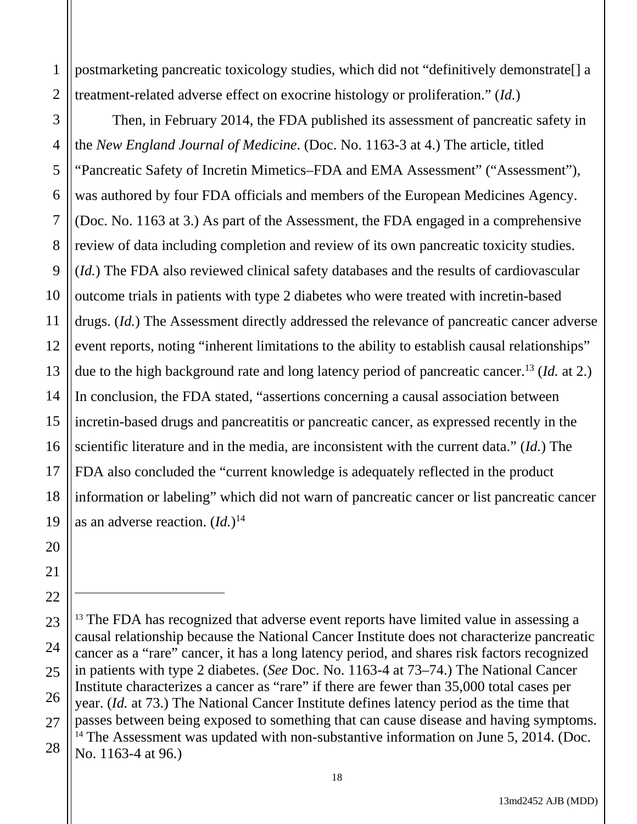1 2 postmarketing pancreatic toxicology studies, which did not "definitively demonstrate[] a treatment-related adverse effect on exocrine histology or proliferation." (*Id.*)

3 4 5 6 7 8 9 10 11 12 13 14 15 16 17 18 19 Then, in February 2014, the FDA published its assessment of pancreatic safety in the *New England Journal of Medicine*. (Doc. No. 1163-3 at 4.) The article, titled "Pancreatic Safety of Incretin Mimetics–FDA and EMA Assessment" ("Assessment"), was authored by four FDA officials and members of the European Medicines Agency. (Doc. No. 1163 at 3.) As part of the Assessment, the FDA engaged in a comprehensive review of data including completion and review of its own pancreatic toxicity studies. (*Id.*) The FDA also reviewed clinical safety databases and the results of cardiovascular outcome trials in patients with type 2 diabetes who were treated with incretin-based drugs. (*Id.*) The Assessment directly addressed the relevance of pancreatic cancer adverse event reports, noting "inherent limitations to the ability to establish causal relationships" due to the high background rate and long latency period of pancreatic cancer.13 (*Id.* at 2.) In conclusion, the FDA stated, "assertions concerning a causal association between incretin-based drugs and pancreatitis or pancreatic cancer, as expressed recently in the scientific literature and in the media, are inconsistent with the current data." (*Id.*) The FDA also concluded the "current knowledge is adequately reflected in the product information or labeling" which did not warn of pancreatic cancer or list pancreatic cancer as an adverse reaction. (*Id.*) 14

20

21

22

<sup>23</sup> 24 25 26 27 28 <sup>13</sup> The FDA has recognized that adverse event reports have limited value in assessing a causal relationship because the National Cancer Institute does not characterize pancreatic cancer as a "rare" cancer, it has a long latency period, and shares risk factors recognized in patients with type 2 diabetes. (*See* Doc. No. 1163-4 at 73–74.) The National Cancer Institute characterizes a cancer as "rare" if there are fewer than 35,000 total cases per year. (*Id.* at 73.) The National Cancer Institute defines latency period as the time that passes between being exposed to something that can cause disease and having symptoms. <sup>14</sup> The Assessment was updated with non-substantive information on June 5, 2014. (Doc. No. 1163-4 at 96.)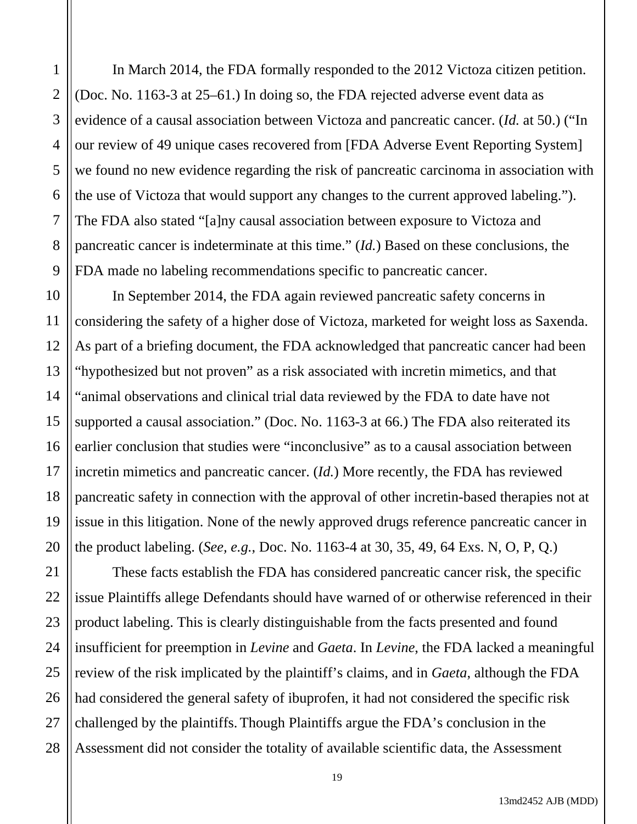In March 2014, the FDA formally responded to the 2012 Victoza citizen petition. (Doc. No. 1163-3 at 25–61.) In doing so, the FDA rejected adverse event data as evidence of a causal association between Victoza and pancreatic cancer. (*Id.* at 50.) ("In our review of 49 unique cases recovered from [FDA Adverse Event Reporting System] we found no new evidence regarding the risk of pancreatic carcinoma in association with the use of Victoza that would support any changes to the current approved labeling."). The FDA also stated "[a]ny causal association between exposure to Victoza and pancreatic cancer is indeterminate at this time." (*Id.*) Based on these conclusions, the FDA made no labeling recommendations specific to pancreatic cancer.

In September 2014, the FDA again reviewed pancreatic safety concerns in considering the safety of a higher dose of Victoza, marketed for weight loss as Saxenda. As part of a briefing document, the FDA acknowledged that pancreatic cancer had been "hypothesized but not proven" as a risk associated with incretin mimetics, and that "animal observations and clinical trial data reviewed by the FDA to date have not supported a causal association." (Doc. No. 1163-3 at 66.) The FDA also reiterated its earlier conclusion that studies were "inconclusive" as to a causal association between incretin mimetics and pancreatic cancer. (*Id.*) More recently, the FDA has reviewed pancreatic safety in connection with the approval of other incretin-based therapies not at issue in this litigation. None of the newly approved drugs reference pancreatic cancer in the product labeling. (*See, e.g.*, Doc. No. 1163-4 at 30, 35, 49, 64 Exs. N, O, P, Q.)

 These facts establish the FDA has considered pancreatic cancer risk, the specific issue Plaintiffs allege Defendants should have warned of or otherwise referenced in their product labeling. This is clearly distinguishable from the facts presented and found insufficient for preemption in *Levine* and *Gaeta*. In *Levine*, the FDA lacked a meaningful review of the risk implicated by the plaintiff's claims, and in *Gaeta*, although the FDA had considered the general safety of ibuprofen, it had not considered the specific risk challenged by the plaintiffs. Though Plaintiffs argue the FDA's conclusion in the Assessment did not consider the totality of available scientific data, the Assessment

1

2

3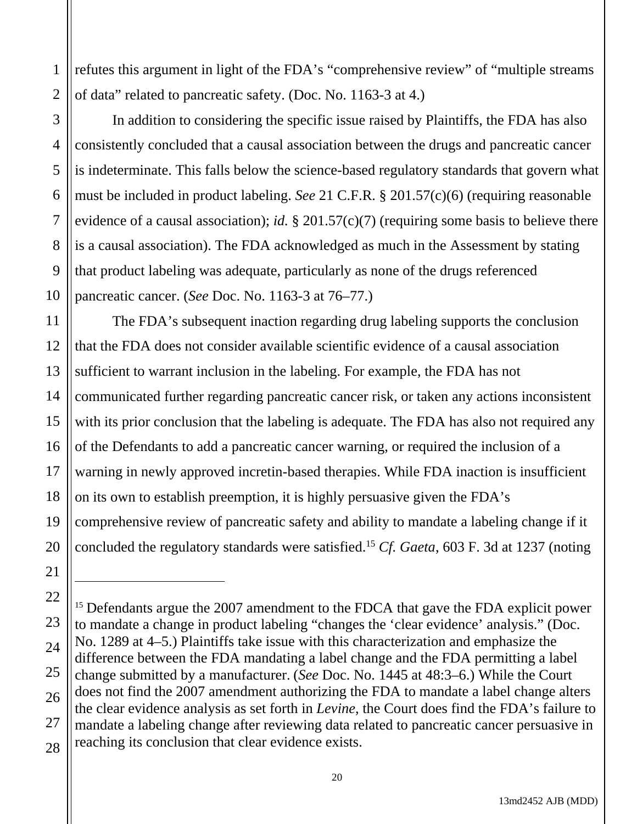1 2 refutes this argument in light of the FDA's "comprehensive review" of "multiple streams of data" related to pancreatic safety. (Doc. No. 1163-3 at 4.)

In addition to considering the specific issue raised by Plaintiffs, the FDA has also consistently concluded that a causal association between the drugs and pancreatic cancer is indeterminate. This falls below the science-based regulatory standards that govern what must be included in product labeling. *See* 21 C.F.R. § 201.57(c)(6) (requiring reasonable evidence of a causal association); *id.* § 201.57(c)(7) (requiring some basis to believe there is a causal association). The FDA acknowledged as much in the Assessment by stating that product labeling was adequate, particularly as none of the drugs referenced pancreatic cancer. (*See* Doc. No. 1163-3 at 76–77.)

The FDA's subsequent inaction regarding drug labeling supports the conclusion that the FDA does not consider available scientific evidence of a causal association sufficient to warrant inclusion in the labeling. For example, the FDA has not communicated further regarding pancreatic cancer risk, or taken any actions inconsistent with its prior conclusion that the labeling is adequate. The FDA has also not required any of the Defendants to add a pancreatic cancer warning, or required the inclusion of a warning in newly approved incretin-based therapies. While FDA inaction is insufficient on its own to establish preemption, it is highly persuasive given the FDA's comprehensive review of pancreatic safety and ability to mandate a labeling change if it concluded the regulatory standards were satisfied.15 *Cf. Gaeta*, 603 F. 3d at 1237 (noting

<sup>&</sup>lt;sup>15</sup> Defendants argue the 2007 amendment to the FDCA that gave the FDA explicit power to mandate a change in product labeling "changes the 'clear evidence' analysis." (Doc. No. 1289 at 4–5.) Plaintiffs take issue with this characterization and emphasize the difference between the FDA mandating a label change and the FDA permitting a label change submitted by a manufacturer. (*See* Doc. No. 1445 at 48:3–6.) While the Court does not find the 2007 amendment authorizing the FDA to mandate a label change alters the clear evidence analysis as set forth in *Levine*, the Court does find the FDA's failure to mandate a labeling change after reviewing data related to pancreatic cancer persuasive in reaching its conclusion that clear evidence exists.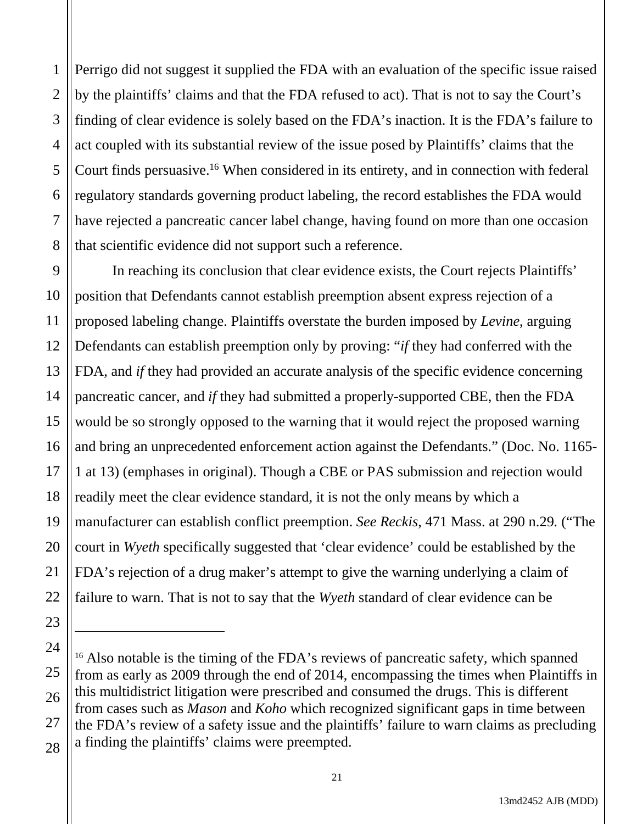1 2 3 4 5 6 7 8 Perrigo did not suggest it supplied the FDA with an evaluation of the specific issue raised by the plaintiffs' claims and that the FDA refused to act). That is not to say the Court's finding of clear evidence is solely based on the FDA's inaction. It is the FDA's failure to act coupled with its substantial review of the issue posed by Plaintiffs' claims that the Court finds persuasive.<sup>16</sup> When considered in its entirety, and in connection with federal regulatory standards governing product labeling, the record establishes the FDA would have rejected a pancreatic cancer label change, having found on more than one occasion that scientific evidence did not support such a reference.

9 10 11 12 13 14 15 16 17 18 19 20 21 22 In reaching its conclusion that clear evidence exists, the Court rejects Plaintiffs' position that Defendants cannot establish preemption absent express rejection of a proposed labeling change. Plaintiffs overstate the burden imposed by *Levine*, arguing Defendants can establish preemption only by proving: "*if* they had conferred with the FDA, and *if* they had provided an accurate analysis of the specific evidence concerning pancreatic cancer, and *if* they had submitted a properly-supported CBE, then the FDA would be so strongly opposed to the warning that it would reject the proposed warning and bring an unprecedented enforcement action against the Defendants." (Doc. No. 1165- 1 at 13) (emphases in original). Though a CBE or PAS submission and rejection would readily meet the clear evidence standard, it is not the only means by which a manufacturer can establish conflict preemption. *See Reckis*, 471 Mass. at 290 n.29*.* ("The court in *Wyeth* specifically suggested that 'clear evidence' could be established by the FDA's rejection of a drug maker's attempt to give the warning underlying a claim of failure to warn. That is not to say that the *Wyeth* standard of clear evidence can be

23

24

25

26

27

<sup>&</sup>lt;sup>16</sup> Also notable is the timing of the FDA's reviews of pancreatic safety, which spanned from as early as 2009 through the end of 2014, encompassing the times when Plaintiffs in this multidistrict litigation were prescribed and consumed the drugs. This is different from cases such as *Mason* and *Koho* which recognized significant gaps in time between the FDA's review of a safety issue and the plaintiffs' failure to warn claims as precluding a finding the plaintiffs' claims were preempted.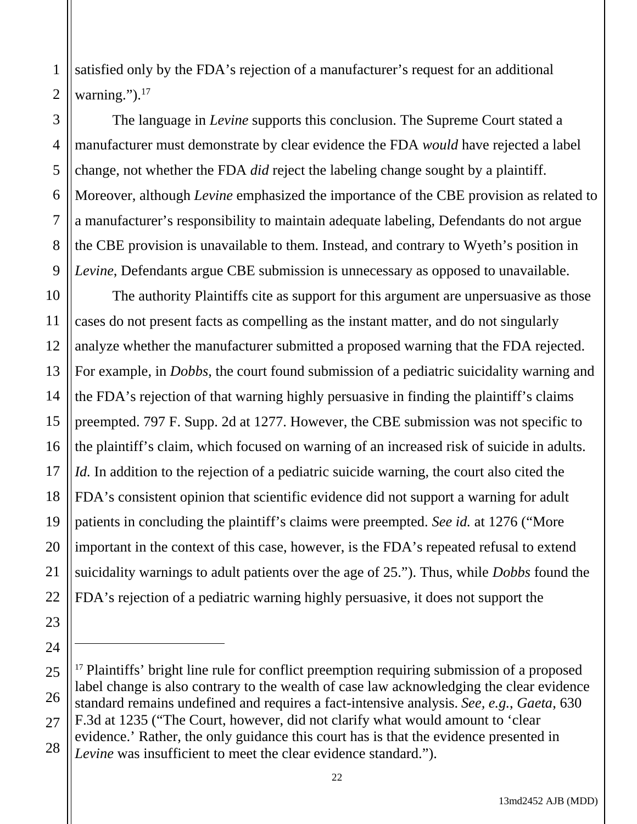2 satisfied only by the FDA's rejection of a manufacturer's request for an additional warning."). $17$ 

1

3

5

7

8

9

23

24

4 6 The language in *Levine* supports this conclusion. The Supreme Court stated a manufacturer must demonstrate by clear evidence the FDA *would* have rejected a label change, not whether the FDA *did* reject the labeling change sought by a plaintiff. Moreover, although *Levine* emphasized the importance of the CBE provision as related to a manufacturer's responsibility to maintain adequate labeling, Defendants do not argue the CBE provision is unavailable to them. Instead, and contrary to Wyeth's position in *Levine*, Defendants argue CBE submission is unnecessary as opposed to unavailable.

10 11 12 13 14 15 16 17 18 19 20 21 22 The authority Plaintiffs cite as support for this argument are unpersuasive as those cases do not present facts as compelling as the instant matter, and do not singularly analyze whether the manufacturer submitted a proposed warning that the FDA rejected. For example, in *Dobbs*, the court found submission of a pediatric suicidality warning and the FDA's rejection of that warning highly persuasive in finding the plaintiff's claims preempted. 797 F. Supp. 2d at 1277. However, the CBE submission was not specific to the plaintiff's claim, which focused on warning of an increased risk of suicide in adults. *Id.* In addition to the rejection of a pediatric suicide warning, the court also cited the FDA's consistent opinion that scientific evidence did not support a warning for adult patients in concluding the plaintiff's claims were preempted. *See id.* at 1276 ("More important in the context of this case, however, is the FDA's repeated refusal to extend suicidality warnings to adult patients over the age of 25."). Thus, while *Dobbs* found the FDA's rejection of a pediatric warning highly persuasive, it does not support the

<sup>25</sup> 26 27 28 <sup>17</sup> Plaintiffs' bright line rule for conflict preemption requiring submission of a proposed label change is also contrary to the wealth of case law acknowledging the clear evidence standard remains undefined and requires a fact-intensive analysis. *See, e.g.*, *Gaeta*, 630 F.3d at 1235 ("The Court, however, did not clarify what would amount to 'clear evidence.' Rather, the only guidance this court has is that the evidence presented in *Levine* was insufficient to meet the clear evidence standard.").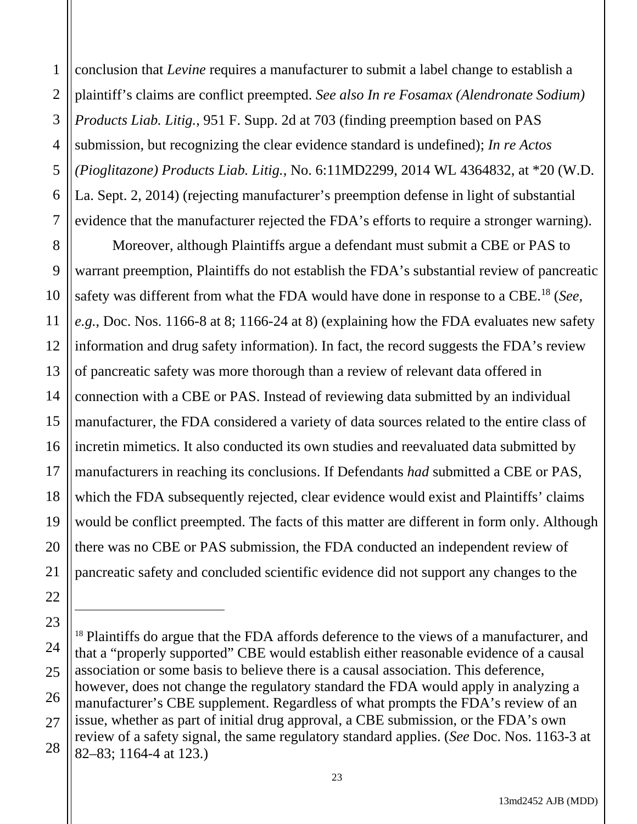1 2 3 4 5 6 7 conclusion that *Levine* requires a manufacturer to submit a label change to establish a plaintiff's claims are conflict preempted. *See also In re Fosamax (Alendronate Sodium) Products Liab. Litig.*, 951 F. Supp. 2d at 703 (finding preemption based on PAS submission, but recognizing the clear evidence standard is undefined); *In re Actos (Pioglitazone) Products Liab. Litig.*, No. 6:11MD2299, 2014 WL 4364832, at \*20 (W.D. La. Sept. 2, 2014) (rejecting manufacturer's preemption defense in light of substantial evidence that the manufacturer rejected the FDA's efforts to require a stronger warning).

8 9 10 11 12 13 14 15 16 17 18 19 20 21 Moreover, although Plaintiffs argue a defendant must submit a CBE or PAS to warrant preemption, Plaintiffs do not establish the FDA's substantial review of pancreatic safety was different from what the FDA would have done in response to a CBE.18 (*See, e.g.*, Doc. Nos. 1166-8 at 8; 1166-24 at 8) (explaining how the FDA evaluates new safety information and drug safety information). In fact, the record suggests the FDA's review of pancreatic safety was more thorough than a review of relevant data offered in connection with a CBE or PAS. Instead of reviewing data submitted by an individual manufacturer, the FDA considered a variety of data sources related to the entire class of incretin mimetics. It also conducted its own studies and reevaluated data submitted by manufacturers in reaching its conclusions. If Defendants *had* submitted a CBE or PAS, which the FDA subsequently rejected, clear evidence would exist and Plaintiffs' claims would be conflict preempted. The facts of this matter are different in form only. Although there was no CBE or PAS submission, the FDA conducted an independent review of pancreatic safety and concluded scientific evidence did not support any changes to the

<sup>23</sup> 24 25 26 27 28 <sup>18</sup> Plaintiffs do argue that the FDA affords deference to the views of a manufacturer, and that a "properly supported" CBE would establish either reasonable evidence of a causal association or some basis to believe there is a causal association. This deference, however, does not change the regulatory standard the FDA would apply in analyzing a manufacturer's CBE supplement. Regardless of what prompts the FDA's review of an issue, whether as part of initial drug approval, a CBE submission, or the FDA's own review of a safety signal, the same regulatory standard applies. (*See* Doc. Nos. 1163-3 at 82–83; 1164-4 at 123.)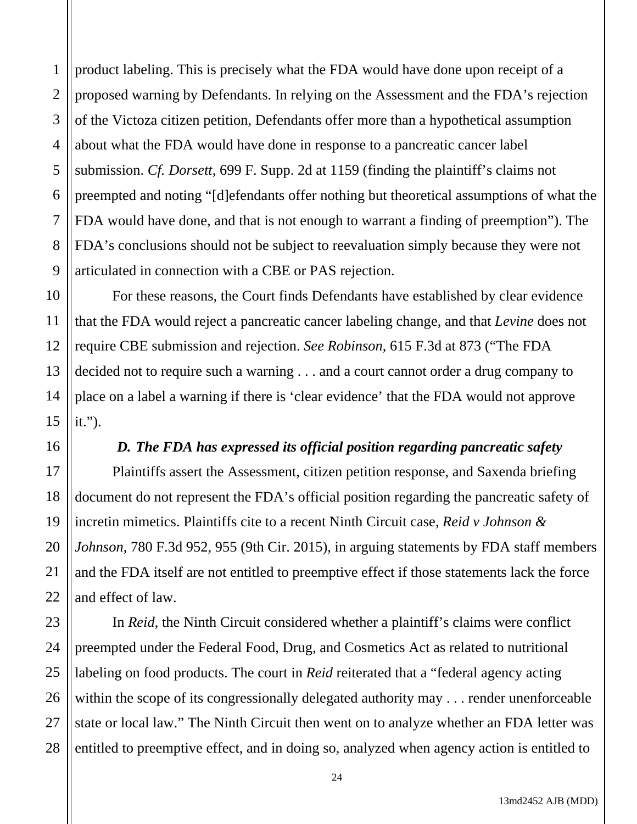1 2 3 4 5 product labeling. This is precisely what the FDA would have done upon receipt of a proposed warning by Defendants. In relying on the Assessment and the FDA's rejection of the Victoza citizen petition, Defendants offer more than a hypothetical assumption about what the FDA would have done in response to a pancreatic cancer label submission. *Cf. Dorsett*, 699 F. Supp. 2d at 1159 (finding the plaintiff's claims not preempted and noting "[d]efendants offer nothing but theoretical assumptions of what the FDA would have done, and that is not enough to warrant a finding of preemption"). The FDA's conclusions should not be subject to reevaluation simply because they were not articulated in connection with a CBE or PAS rejection.

For these reasons, the Court finds Defendants have established by clear evidence that the FDA would reject a pancreatic cancer labeling change, and that *Levine* does not require CBE submission and rejection. *See Robinson*, 615 F.3d at 873 ("The FDA decided not to require such a warning . . . and a court cannot order a drug company to place on a label a warning if there is 'clear evidence' that the FDA would not approve it.").

#### *D. The FDA has expressed its official position regarding pancreatic safety*

Plaintiffs assert the Assessment, citizen petition response, and Saxenda briefing document do not represent the FDA's official position regarding the pancreatic safety of incretin mimetics. Plaintiffs cite to a recent Ninth Circuit case, *Reid v Johnson & Johnson*, 780 F.3d 952, 955 (9th Cir. 2015), in arguing statements by FDA staff members and the FDA itself are not entitled to preemptive effect if those statements lack the force and effect of law.

In *Reid*, the Ninth Circuit considered whether a plaintiff's claims were conflict preempted under the Federal Food, Drug, and Cosmetics Act as related to nutritional labeling on food products. The court in *Reid* reiterated that a "federal agency acting within the scope of its congressionally delegated authority may ... render unenforceable state or local law." The Ninth Circuit then went on to analyze whether an FDA letter was entitled to preemptive effect, and in doing so, analyzed when agency action is entitled to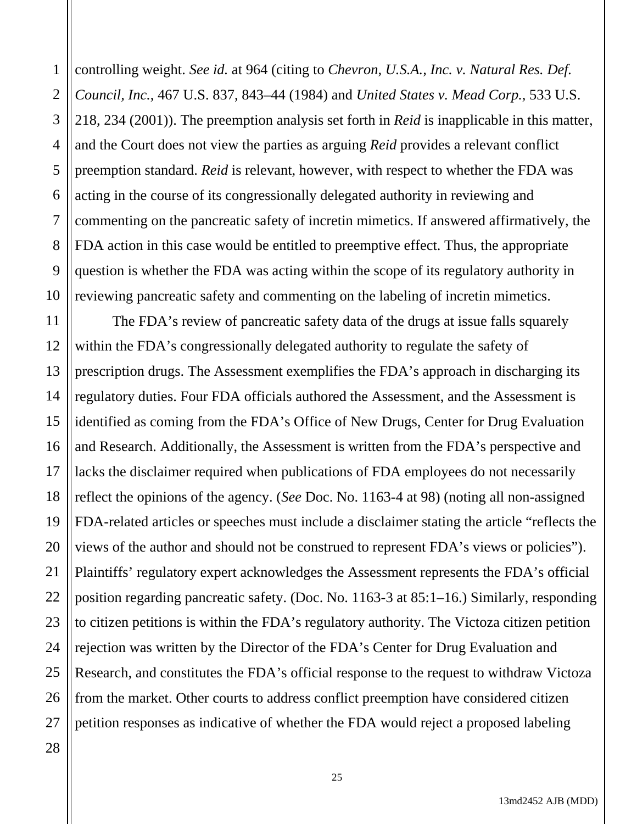1 2 3 4 5 6 7 8 9 10 controlling weight. *See id.* at 964 (citing to *Chevron, U.S.A., Inc. v. Natural Res. Def. Council, Inc.*, 467 U.S. 837, 843–44 (1984) and *United States v. Mead Corp.*, 533 U.S. 218, 234 (2001)). The preemption analysis set forth in *Reid* is inapplicable in this matter, and the Court does not view the parties as arguing *Reid* provides a relevant conflict preemption standard. *Reid* is relevant, however, with respect to whether the FDA was acting in the course of its congressionally delegated authority in reviewing and commenting on the pancreatic safety of incretin mimetics. If answered affirmatively, the FDA action in this case would be entitled to preemptive effect. Thus, the appropriate question is whether the FDA was acting within the scope of its regulatory authority in reviewing pancreatic safety and commenting on the labeling of incretin mimetics.

11 12 13 14 15 16 17 18 19 20 21 22 23 24 25 The FDA's review of pancreatic safety data of the drugs at issue falls squarely within the FDA's congressionally delegated authority to regulate the safety of prescription drugs. The Assessment exemplifies the FDA's approach in discharging its regulatory duties. Four FDA officials authored the Assessment, and the Assessment is identified as coming from the FDA's Office of New Drugs, Center for Drug Evaluation and Research. Additionally, the Assessment is written from the FDA's perspective and lacks the disclaimer required when publications of FDA employees do not necessarily reflect the opinions of the agency. (*See* Doc. No. 1163-4 at 98) (noting all non-assigned FDA-related articles or speeches must include a disclaimer stating the article "reflects the views of the author and should not be construed to represent FDA's views or policies"). Plaintiffs' regulatory expert acknowledges the Assessment represents the FDA's official position regarding pancreatic safety. (Doc. No. 1163-3 at 85:1–16.) Similarly, responding to citizen petitions is within the FDA's regulatory authority. The Victoza citizen petition rejection was written by the Director of the FDA's Center for Drug Evaluation and Research, and constitutes the FDA's official response to the request to withdraw Victoza from the market. Other courts to address conflict preemption have considered citizen petition responses as indicative of whether the FDA would reject a proposed labeling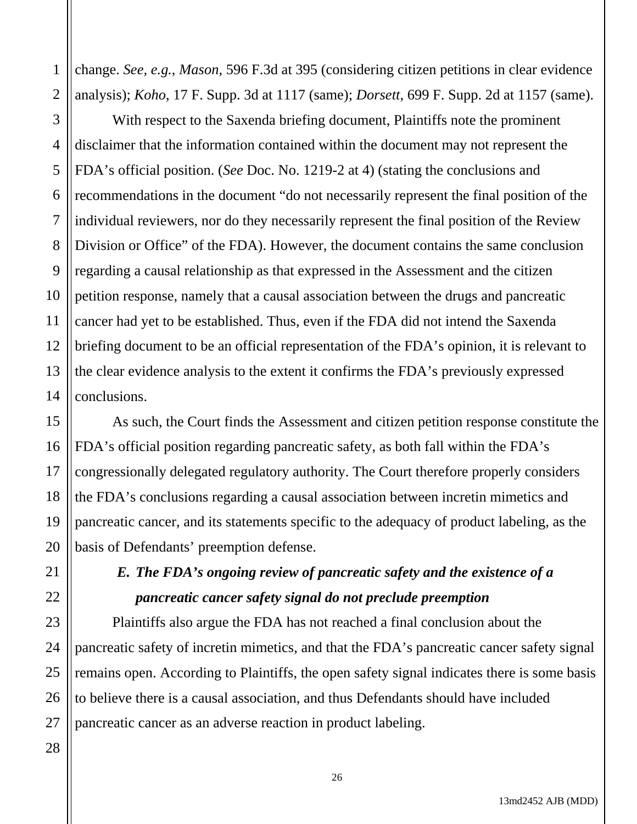1 2 change. *See, e.g.*, *Mason*, 596 F.3d at 395 (considering citizen petitions in clear evidence analysis); *Koho*, 17 F. Supp. 3d at 1117 (same); *Dorsett*, 699 F. Supp. 2d at 1157 (same).

3 4 5 6 7 8 9 10 11 12 13 14 With respect to the Saxenda briefing document, Plaintiffs note the prominent disclaimer that the information contained within the document may not represent the FDA's official position. (*See* Doc. No. 1219-2 at 4) (stating the conclusions and recommendations in the document "do not necessarily represent the final position of the individual reviewers, nor do they necessarily represent the final position of the Review Division or Office" of the FDA). However, the document contains the same conclusion regarding a causal relationship as that expressed in the Assessment and the citizen petition response, namely that a causal association between the drugs and pancreatic cancer had yet to be established. Thus, even if the FDA did not intend the Saxenda briefing document to be an official representation of the FDA's opinion, it is relevant to the clear evidence analysis to the extent it confirms the FDA's previously expressed conclusions.

16 20 As such, the Court finds the Assessment and citizen petition response constitute the FDA's official position regarding pancreatic safety, as both fall within the FDA's congressionally delegated regulatory authority. The Court therefore properly considers the FDA's conclusions regarding a causal association between incretin mimetics and pancreatic cancer, and its statements specific to the adequacy of product labeling, as the basis of Defendants' preemption defense.

## *E. The FDA's ongoing review of pancreatic safety and the existence of a pancreatic cancer safety signal do not preclude preemption*

Plaintiffs also argue the FDA has not reached a final conclusion about the pancreatic safety of incretin mimetics, and that the FDA's pancreatic cancer safety signal remains open. According to Plaintiffs, the open safety signal indicates there is some basis to believe there is a causal association, and thus Defendants should have included pancreatic cancer as an adverse reaction in product labeling.

15

17

18

19

21

22

23

24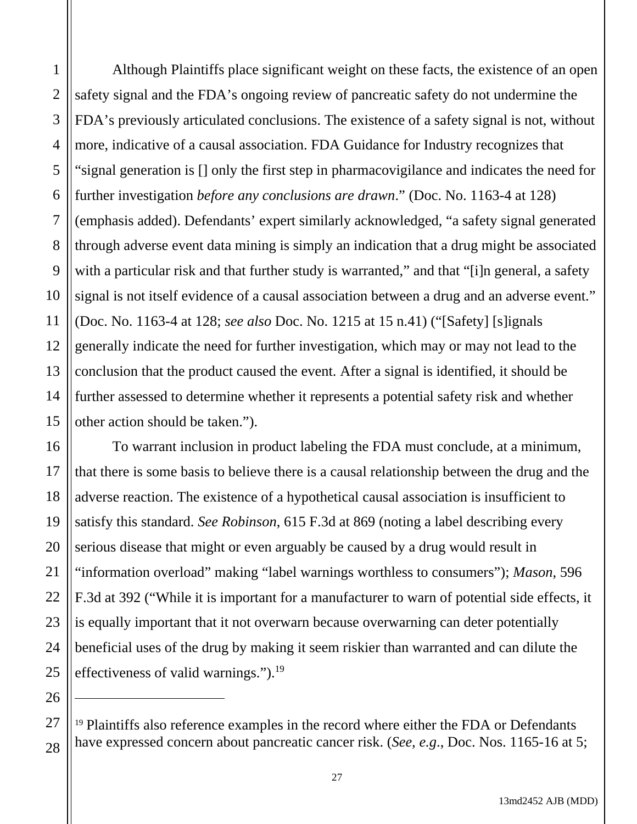1 2 3 Although Plaintiffs place significant weight on these facts, the existence of an open safety signal and the FDA's ongoing review of pancreatic safety do not undermine the FDA's previously articulated conclusions. The existence of a safety signal is not, without more, indicative of a causal association. FDA Guidance for Industry recognizes that "signal generation is [] only the first step in pharmacovigilance and indicates the need for further investigation *before any conclusions are drawn*." (Doc. No. 1163-4 at 128) (emphasis added). Defendants' expert similarly acknowledged, "a safety signal generated through adverse event data mining is simply an indication that a drug might be associated with a particular risk and that further study is warranted," and that "[i]n general, a safety signal is not itself evidence of a causal association between a drug and an adverse event." (Doc. No. 1163-4 at 128; *see also* Doc. No. 1215 at 15 n.41) ("[Safety] [s]ignals generally indicate the need for further investigation, which may or may not lead to the conclusion that the product caused the event. After a signal is identified, it should be further assessed to determine whether it represents a potential safety risk and whether other action should be taken.").

To warrant inclusion in product labeling the FDA must conclude, at a minimum, that there is some basis to believe there is a causal relationship between the drug and the adverse reaction. The existence of a hypothetical causal association is insufficient to satisfy this standard. *See Robinson*, 615 F.3d at 869 (noting a label describing every serious disease that might or even arguably be caused by a drug would result in "information overload" making "label warnings worthless to consumers"); *Mason*, 596 F.3d at 392 ("While it is important for a manufacturer to warn of potential side effects, it is equally important that it not overwarn because overwarning can deter potentially beneficial uses of the drug by making it seem riskier than warranted and can dilute the effectiveness of valid warnings.").<sup>19</sup>

<sup>19</sup> Plaintiffs also reference examples in the record where either the FDA or Defendants have expressed concern about pancreatic cancer risk. (*See, e.g*., Doc. Nos. 1165-16 at 5;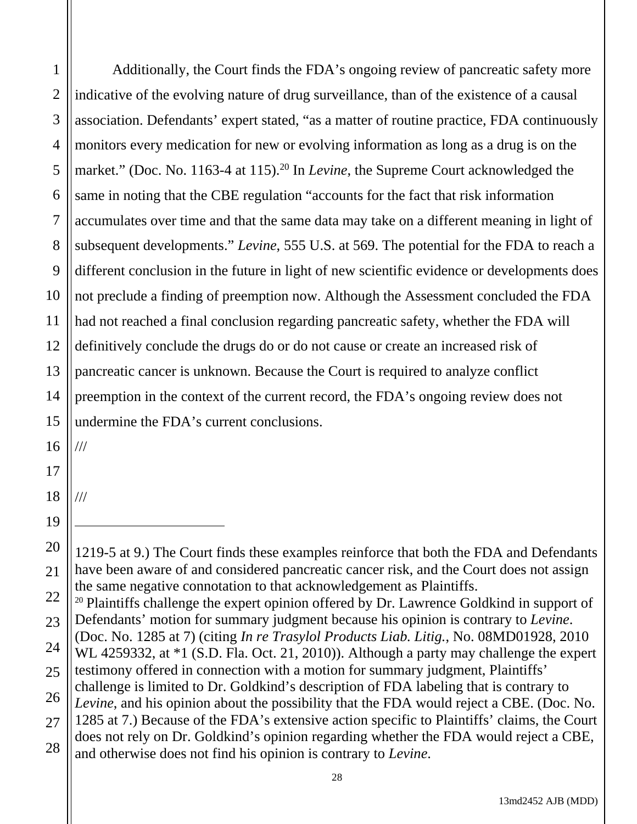1 2 3 4 5 6 7 8 9 10 11 12 13 14 15 Additionally, the Court finds the FDA's ongoing review of pancreatic safety more indicative of the evolving nature of drug surveillance, than of the existence of a causal association. Defendants' expert stated, "as a matter of routine practice, FDA continuously monitors every medication for new or evolving information as long as a drug is on the market." (Doc. No. 1163-4 at 115).<sup>20</sup> In *Levine*, the Supreme Court acknowledged the same in noting that the CBE regulation "accounts for the fact that risk information accumulates over time and that the same data may take on a different meaning in light of subsequent developments." *Levine*, 555 U.S. at 569. The potential for the FDA to reach a different conclusion in the future in light of new scientific evidence or developments does not preclude a finding of preemption now. Although the Assessment concluded the FDA had not reached a final conclusion regarding pancreatic safety, whether the FDA will definitively conclude the drugs do or do not cause or create an increased risk of pancreatic cancer is unknown. Because the Court is required to analyze conflict preemption in the context of the current record, the FDA's ongoing review does not undermine the FDA's current conclusions.

///

///

20

<sup>1219-5</sup> at 9.) The Court finds these examples reinforce that both the FDA and Defendants have been aware of and considered pancreatic cancer risk, and the Court does not assign the same negative connotation to that acknowledgement as Plaintiffs.

<sup>22</sup> 23 <sup>20</sup> Plaintiffs challenge the expert opinion offered by Dr. Lawrence Goldkind in support of Defendants' motion for summary judgment because his opinion is contrary to *Levine*.

<sup>24</sup> 25 (Doc. No. 1285 at 7) (citing *In re Trasylol Products Liab. Litig.*, No. 08MD01928, 2010 WL 4259332, at  $*1$  (S.D. Fla. Oct. 21, 2010)). Although a party may challenge the expert testimony offered in connection with a motion for summary judgment, Plaintiffs'

<sup>26</sup> challenge is limited to Dr. Goldkind's description of FDA labeling that is contrary to *Levine*, and his opinion about the possibility that the FDA would reject a CBE. (Doc. No.

<sup>27</sup> 28 1285 at 7.) Because of the FDA's extensive action specific to Plaintiffs' claims, the Court does not rely on Dr. Goldkind's opinion regarding whether the FDA would reject a CBE,

and otherwise does not find his opinion is contrary to *Levine*.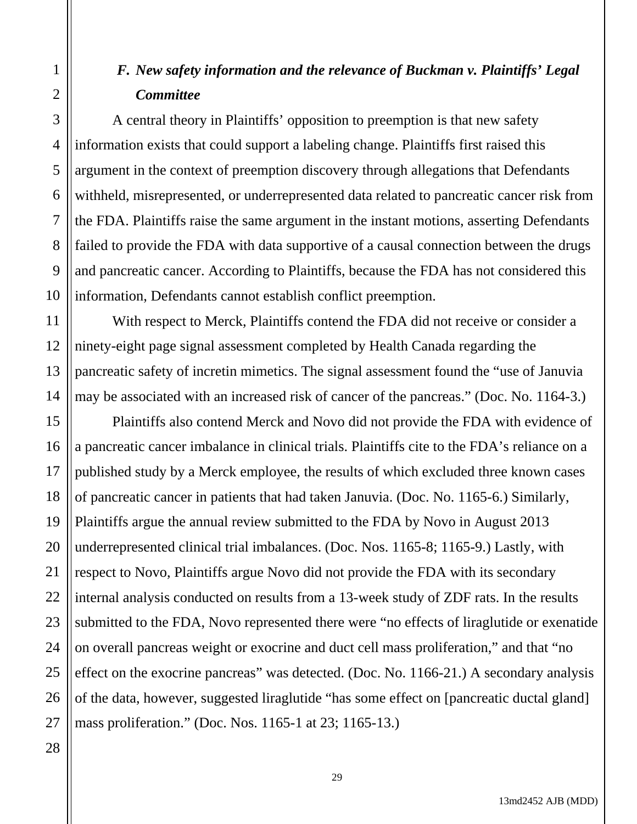## *F. New safety information and the relevance of Buckman v. Plaintiffs' Legal Committee*

A central theory in Plaintiffs' opposition to preemption is that new safety information exists that could support a labeling change. Plaintiffs first raised this argument in the context of preemption discovery through allegations that Defendants withheld, misrepresented, or underrepresented data related to pancreatic cancer risk from the FDA. Plaintiffs raise the same argument in the instant motions, asserting Defendants failed to provide the FDA with data supportive of a causal connection between the drugs and pancreatic cancer. According to Plaintiffs, because the FDA has not considered this information, Defendants cannot establish conflict preemption.

14 With respect to Merck, Plaintiffs contend the FDA did not receive or consider a ninety-eight page signal assessment completed by Health Canada regarding the pancreatic safety of incretin mimetics. The signal assessment found the "use of Januvia may be associated with an increased risk of cancer of the pancreas." (Doc. No. 1164-3.)

15 16 17 18 19 20 21 22 23 24 25 26 Plaintiffs also contend Merck and Novo did not provide the FDA with evidence of a pancreatic cancer imbalance in clinical trials. Plaintiffs cite to the FDA's reliance on a published study by a Merck employee, the results of which excluded three known cases of pancreatic cancer in patients that had taken Januvia. (Doc. No. 1165-6.) Similarly, Plaintiffs argue the annual review submitted to the FDA by Novo in August 2013 underrepresented clinical trial imbalances. (Doc. Nos. 1165-8; 1165-9.) Lastly, with respect to Novo, Plaintiffs argue Novo did not provide the FDA with its secondary internal analysis conducted on results from a 13-week study of ZDF rats. In the results submitted to the FDA, Novo represented there were "no effects of liraglutide or exenatide on overall pancreas weight or exocrine and duct cell mass proliferation," and that "no effect on the exocrine pancreas" was detected. (Doc. No. 1166-21.) A secondary analysis of the data, however, suggested liraglutide "has some effect on [pancreatic ductal gland] mass proliferation." (Doc. Nos. 1165-1 at 23; 1165-13.)

27 28

1

2

3

4

5

6

7

8

9

10

11

12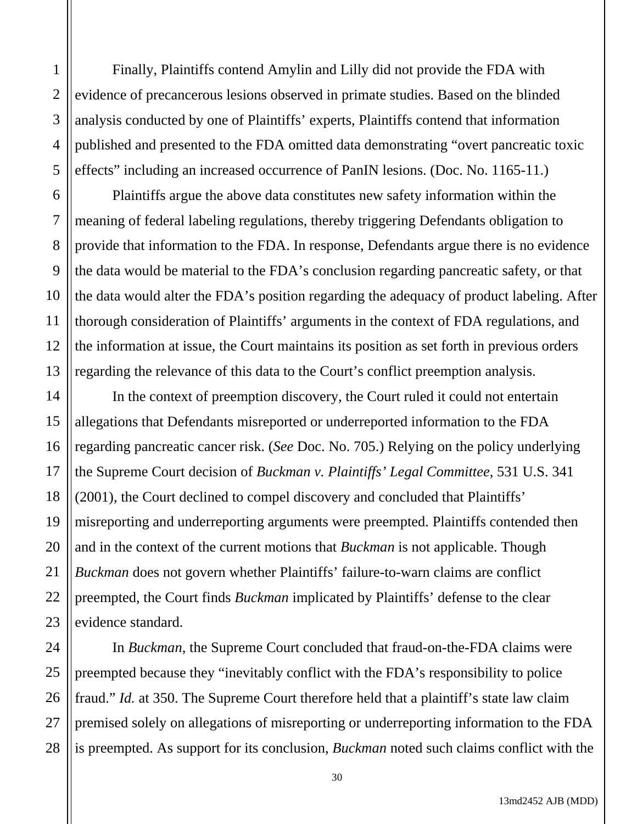Finally, Plaintiffs contend Amylin and Lilly did not provide the FDA with evidence of precancerous lesions observed in primate studies. Based on the blinded analysis conducted by one of Plaintiffs' experts, Plaintiffs contend that information published and presented to the FDA omitted data demonstrating "overt pancreatic toxic effects" including an increased occurrence of PanIN lesions. (Doc. No. 1165-11.)

Plaintiffs argue the above data constitutes new safety information within the meaning of federal labeling regulations, thereby triggering Defendants obligation to provide that information to the FDA. In response, Defendants argue there is no evidence the data would be material to the FDA's conclusion regarding pancreatic safety, or that the data would alter the FDA's position regarding the adequacy of product labeling. After thorough consideration of Plaintiffs' arguments in the context of FDA regulations, and the information at issue, the Court maintains its position as set forth in previous orders regarding the relevance of this data to the Court's conflict preemption analysis.

In the context of preemption discovery, the Court ruled it could not entertain allegations that Defendants misreported or underreported information to the FDA regarding pancreatic cancer risk. (*See* Doc. No. 705.) Relying on the policy underlying the Supreme Court decision of *Buckman v. Plaintiffs' Legal Committee*, 531 U.S. 341 (2001), the Court declined to compel discovery and concluded that Plaintiffs' misreporting and underreporting arguments were preempted. Plaintiffs contended then and in the context of the current motions that *Buckman* is not applicable. Though *Buckman* does not govern whether Plaintiffs' failure-to-warn claims are conflict preempted, the Court finds *Buckman* implicated by Plaintiffs' defense to the clear evidence standard.

In *Buckman*, the Supreme Court concluded that fraud-on-the-FDA claims were preempted because they "inevitably conflict with the FDA's responsibility to police fraud." *Id.* at 350. The Supreme Court therefore held that a plaintiff's state law claim premised solely on allegations of misreporting or underreporting information to the FDA is preempted. As support for its conclusion, *Buckman* noted such claims conflict with the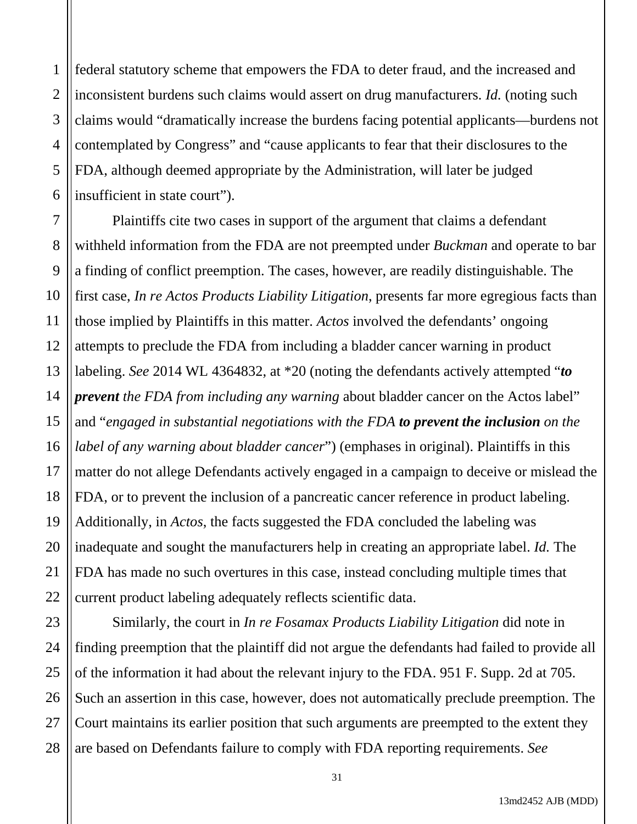1 2 3 4 5 6 federal statutory scheme that empowers the FDA to deter fraud, and the increased and inconsistent burdens such claims would assert on drug manufacturers. *Id.* (noting such claims would "dramatically increase the burdens facing potential applicants—burdens not contemplated by Congress" and "cause applicants to fear that their disclosures to the FDA, although deemed appropriate by the Administration, will later be judged insufficient in state court").

7 8 9 10 11 12 13 14 15 16 17 18 19 20 21 22 Plaintiffs cite two cases in support of the argument that claims a defendant withheld information from the FDA are not preempted under *Buckman* and operate to bar a finding of conflict preemption. The cases, however, are readily distinguishable. The first case, *In re Actos Products Liability Litigation*, presents far more egregious facts than those implied by Plaintiffs in this matter. *Actos* involved the defendants' ongoing attempts to preclude the FDA from including a bladder cancer warning in product labeling. *See* 2014 WL 4364832, at \*20 (noting the defendants actively attempted "*to prevent the FDA from including any warning* about bladder cancer on the Actos label" and "*engaged in substantial negotiations with the FDA to prevent the inclusion on the label of any warning about bladder cancer*") (emphases in original). Plaintiffs in this matter do not allege Defendants actively engaged in a campaign to deceive or mislead the FDA, or to prevent the inclusion of a pancreatic cancer reference in product labeling. Additionally, in *Actos*, the facts suggested the FDA concluded the labeling was inadequate and sought the manufacturers help in creating an appropriate label. *Id.* The FDA has made no such overtures in this case, instead concluding multiple times that current product labeling adequately reflects scientific data.

23 24 25 26 27 28 Similarly, the court in *In re Fosamax Products Liability Litigation* did note in finding preemption that the plaintiff did not argue the defendants had failed to provide all of the information it had about the relevant injury to the FDA. 951 F. Supp. 2d at 705. Such an assertion in this case, however, does not automatically preclude preemption. The Court maintains its earlier position that such arguments are preempted to the extent they are based on Defendants failure to comply with FDA reporting requirements. *See*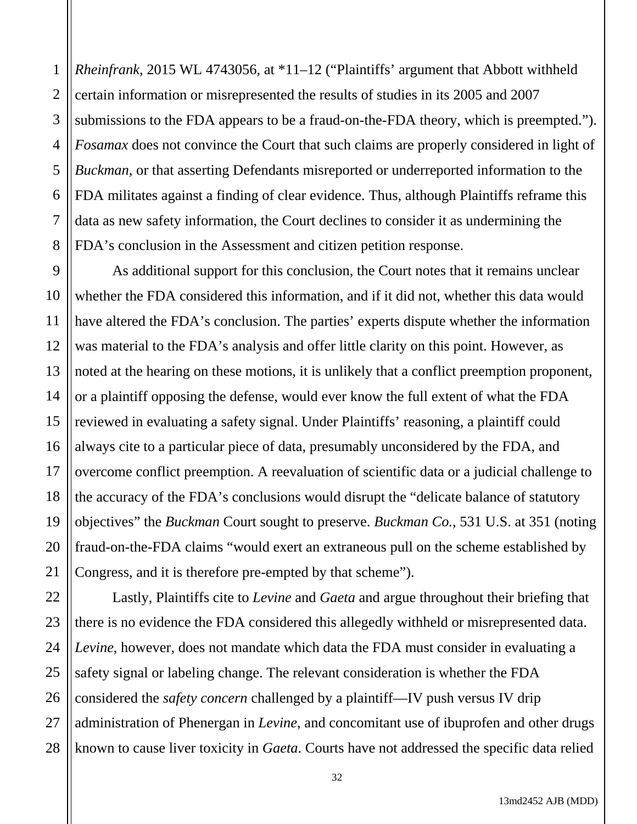1 2 3 4 5 6 7 8 *Rheinfrank*, 2015 WL 4743056, at \*11–12 ("Plaintiffs' argument that Abbott withheld certain information or misrepresented the results of studies in its 2005 and 2007 submissions to the FDA appears to be a fraud-on-the-FDA theory, which is preempted."). *Fosamax* does not convince the Court that such claims are properly considered in light of *Buckman*, or that asserting Defendants misreported or underreported information to the FDA militates against a finding of clear evidence. Thus, although Plaintiffs reframe this data as new safety information, the Court declines to consider it as undermining the FDA's conclusion in the Assessment and citizen petition response.

9 10 11 12 13 14 15 16 17 18 19 20 21 As additional support for this conclusion, the Court notes that it remains unclear whether the FDA considered this information, and if it did not, whether this data would have altered the FDA's conclusion. The parties' experts dispute whether the information was material to the FDA's analysis and offer little clarity on this point. However, as noted at the hearing on these motions, it is unlikely that a conflict preemption proponent, or a plaintiff opposing the defense, would ever know the full extent of what the FDA reviewed in evaluating a safety signal. Under Plaintiffs' reasoning, a plaintiff could always cite to a particular piece of data, presumably unconsidered by the FDA, and overcome conflict preemption. A reevaluation of scientific data or a judicial challenge to the accuracy of the FDA's conclusions would disrupt the "delicate balance of statutory objectives" the *Buckman* Court sought to preserve. *Buckman Co.*, 531 U.S. at 351 (noting fraud-on-the-FDA claims "would exert an extraneous pull on the scheme established by Congress, and it is therefore pre-empted by that scheme").

22 23 24 25 26 27 28 Lastly, Plaintiffs cite to *Levine* and *Gaeta* and argue throughout their briefing that there is no evidence the FDA considered this allegedly withheld or misrepresented data. *Levine*, however, does not mandate which data the FDA must consider in evaluating a safety signal or labeling change. The relevant consideration is whether the FDA considered the *safety concern* challenged by a plaintiff—IV push versus IV drip administration of Phenergan in *Levine*, and concomitant use of ibuprofen and other drugs known to cause liver toxicity in *Gaeta*. Courts have not addressed the specific data relied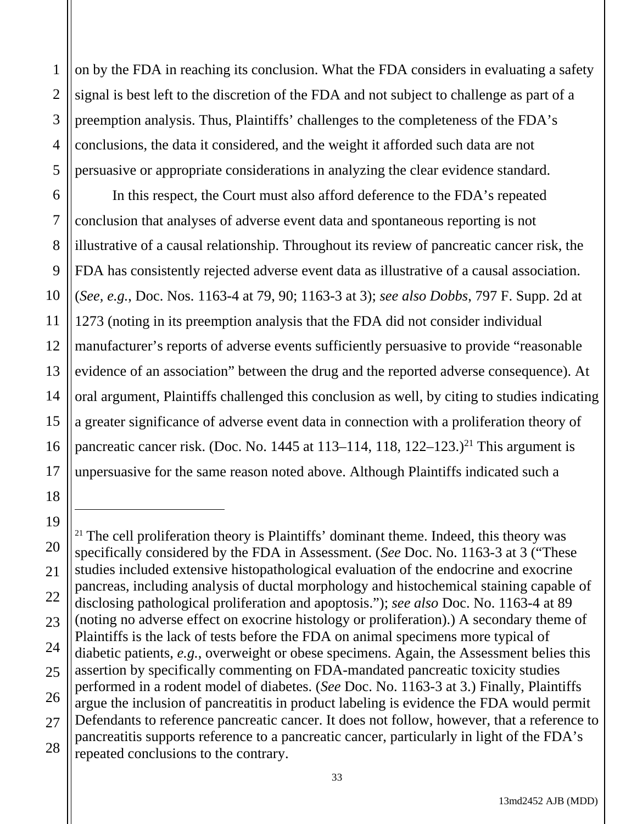1 2 3 4 5 on by the FDA in reaching its conclusion. What the FDA considers in evaluating a safety signal is best left to the discretion of the FDA and not subject to challenge as part of a preemption analysis. Thus, Plaintiffs' challenges to the completeness of the FDA's conclusions, the data it considered, and the weight it afforded such data are not persuasive or appropriate considerations in analyzing the clear evidence standard.

6

7

8

9

10

11

12

14

15

17

18

13 16 In this respect, the Court must also afford deference to the FDA's repeated conclusion that analyses of adverse event data and spontaneous reporting is not illustrative of a causal relationship. Throughout its review of pancreatic cancer risk, the FDA has consistently rejected adverse event data as illustrative of a causal association. (*See, e.g.*, Doc. Nos. 1163-4 at 79, 90; 1163-3 at 3); *see also Dobbs*, 797 F. Supp. 2d at 1273 (noting in its preemption analysis that the FDA did not consider individual manufacturer's reports of adverse events sufficiently persuasive to provide "reasonable evidence of an association" between the drug and the reported adverse consequence). At oral argument, Plaintiffs challenged this conclusion as well, by citing to studies indicating a greater significance of adverse event data in connection with a proliferation theory of pancreatic cancer risk. (Doc. No. 1445 at 113–114, 118,  $122-123$ .)<sup>21</sup> This argument is unpersuasive for the same reason noted above. Although Plaintiffs indicated such a

<sup>19</sup> 20 21 22 23 24 25 26 27 28  $21$  The cell proliferation theory is Plaintiffs' dominant theme. Indeed, this theory was specifically considered by the FDA in Assessment. (*See* Doc. No. 1163-3 at 3 ("These studies included extensive histopathological evaluation of the endocrine and exocrine pancreas, including analysis of ductal morphology and histochemical staining capable of disclosing pathological proliferation and apoptosis."); *see also* Doc. No. 1163-4 at 89 (noting no adverse effect on exocrine histology or proliferation).) A secondary theme of Plaintiffs is the lack of tests before the FDA on animal specimens more typical of diabetic patients, *e.g.*, overweight or obese specimens. Again, the Assessment belies this assertion by specifically commenting on FDA-mandated pancreatic toxicity studies performed in a rodent model of diabetes. (*See* Doc. No. 1163-3 at 3.) Finally, Plaintiffs argue the inclusion of pancreatitis in product labeling is evidence the FDA would permit Defendants to reference pancreatic cancer. It does not follow, however, that a reference to pancreatitis supports reference to a pancreatic cancer, particularly in light of the FDA's repeated conclusions to the contrary.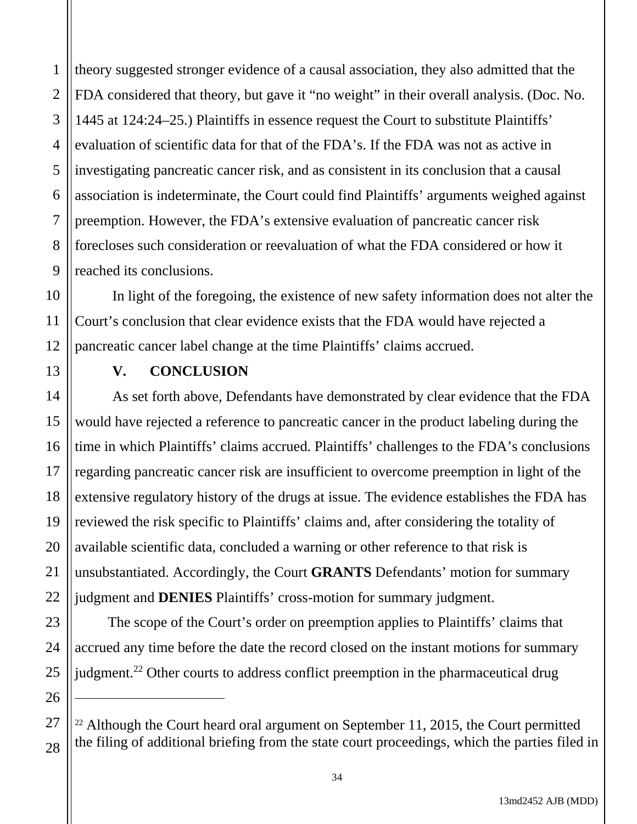1 2 3 4 5 6 7 8 9 theory suggested stronger evidence of a causal association, they also admitted that the FDA considered that theory, but gave it "no weight" in their overall analysis. (Doc. No. 1445 at 124:24–25.) Plaintiffs in essence request the Court to substitute Plaintiffs' evaluation of scientific data for that of the FDA's. If the FDA was not as active in investigating pancreatic cancer risk, and as consistent in its conclusion that a causal association is indeterminate, the Court could find Plaintiffs' arguments weighed against preemption. However, the FDA's extensive evaluation of pancreatic cancer risk forecloses such consideration or reevaluation of what the FDA considered or how it reached its conclusions.

10 11 12 In light of the foregoing, the existence of new safety information does not alter the Court's conclusion that clear evidence exists that the FDA would have rejected a pancreatic cancer label change at the time Plaintiffs' claims accrued.

13

14

15

16

17

18

19

20

21

22

23

24

25

26

27

28

## **V. CONCLUSION**

As set forth above, Defendants have demonstrated by clear evidence that the FDA would have rejected a reference to pancreatic cancer in the product labeling during the time in which Plaintiffs' claims accrued. Plaintiffs' challenges to the FDA's conclusions regarding pancreatic cancer risk are insufficient to overcome preemption in light of the extensive regulatory history of the drugs at issue. The evidence establishes the FDA has reviewed the risk specific to Plaintiffs' claims and, after considering the totality of available scientific data, concluded a warning or other reference to that risk is unsubstantiated. Accordingly, the Court **GRANTS** Defendants' motion for summary judgment and **DENIES** Plaintiffs' cross-motion for summary judgment.

The scope of the Court's order on preemption applies to Plaintiffs' claims that accrued any time before the date the record closed on the instant motions for summary judgment.<sup>22</sup> Other courts to address conflict preemption in the pharmaceutical drug

 $22$  Although the Court heard oral argument on September 11, 2015, the Court permitted the filing of additional briefing from the state court proceedings, which the parties filed in